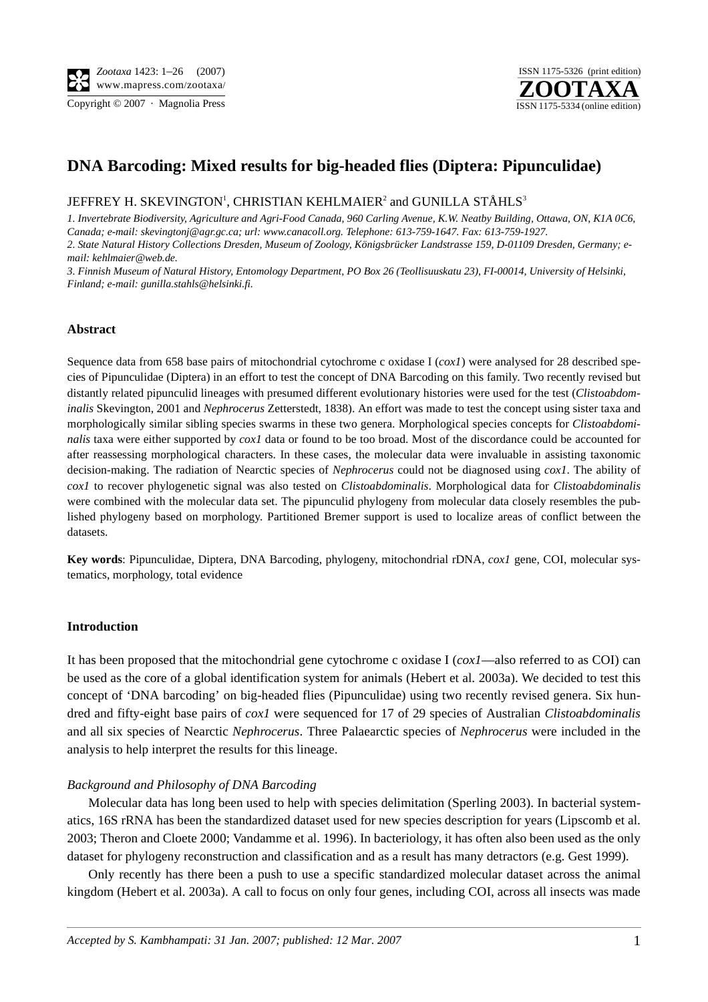

# **DNA Barcoding: Mixed results for big-headed flies (Diptera: Pipunculidae)**

# JEFFREY H. SKEVINGTON $^{\rm 1}$ , CHRISTIAN KEHLMAIER $^{\rm 2}$  and GUNILLA STÅHLS $^{\rm 3}$

*1. Invertebrate Biodiversity, Agriculture and Agri-Food Canada, 960 Carling Avenue, K.W. Neatby Building, Ottawa, ON, K1A 0C6, Canada; e-mail: skevingtonj@agr.gc.ca; url: www.canacoll.org. Telephone: 613-759-1647. Fax: 613-759-1927.* 

*2. State Natural History Collections Dresden, Museum of Zoology, Königsbrücker Landstrasse 159, D-01109 Dresden, Germany; email: kehlmaier@web.de.* 

*3. Finnish Museum of Natural History, Entomology Department, PO Box 26 (Teollisuuskatu 23), FI-00014, University of Helsinki, Finland; e-mail: gunilla.stahls@helsinki.fi.*

# **Abstract**

Sequence data from 658 base pairs of mitochondrial cytochrome c oxidase I (*cox1*) were analysed for 28 described species of Pipunculidae (Diptera) in an effort to test the concept of DNA Barcoding on this family. Two recently revised but distantly related pipunculid lineages with presumed different evolutionary histories were used for the test (*Clistoabdominalis* Skevington, 2001 and *Nephrocerus* Zetterstedt, 1838). An effort was made to test the concept using sister taxa and morphologically similar sibling species swarms in these two genera. Morphological species concepts for *Clistoabdominalis* taxa were either supported by *cox1* data or found to be too broad. Most of the discordance could be accounted for after reassessing morphological characters. In these cases, the molecular data were invaluable in assisting taxonomic decision-making. The radiation of Nearctic species of *Nephrocerus* could not be diagnosed using *cox1*. The ability of *cox1* to recover phylogenetic signal was also tested on *Clistoabdominalis*. Morphological data for *Clistoabdominalis* were combined with the molecular data set. The pipunculid phylogeny from molecular data closely resembles the published phylogeny based on morphology. Partitioned Bremer support is used to localize areas of conflict between the datasets.

**Key words**: Pipunculidae, Diptera, DNA Barcoding, phylogeny, mitochondrial rDNA, *cox1* gene, COI, molecular systematics, morphology, total evidence

## **Introduction**

It has been proposed that the mitochondrial gene cytochrome c oxidase I (*cox1*—also referred to as COI) can be used as the core of a global identification system for animals (Hebert et al. 2003a). We decided to test this concept of 'DNA barcoding' on big-headed flies (Pipunculidae) using two recently revised genera. Six hundred and fifty-eight base pairs of *cox1* were sequenced for 17 of 29 species of Australian *Clistoabdominalis* and all six species of Nearctic *Nephrocerus*. Three Palaearctic species of *Nephrocerus* were included in the analysis to help interpret the results for this lineage.

## *Background and Philosophy of DNA Barcoding*

Molecular data has long been used to help with species delimitation (Sperling 2003). In bacterial systematics, 16S rRNA has been the standardized dataset used for new species description for years (Lipscomb et al. 2003; Theron and Cloete 2000; Vandamme et al. 1996). In bacteriology, it has often also been used as the only dataset for phylogeny reconstruction and classification and as a result has many detractors (e.g. Gest 1999).

Only recently has there been a push to use a specific standardized molecular dataset across the animal kingdom (Hebert et al. 2003a). A call to focus on only four genes, including COI, across all insects was made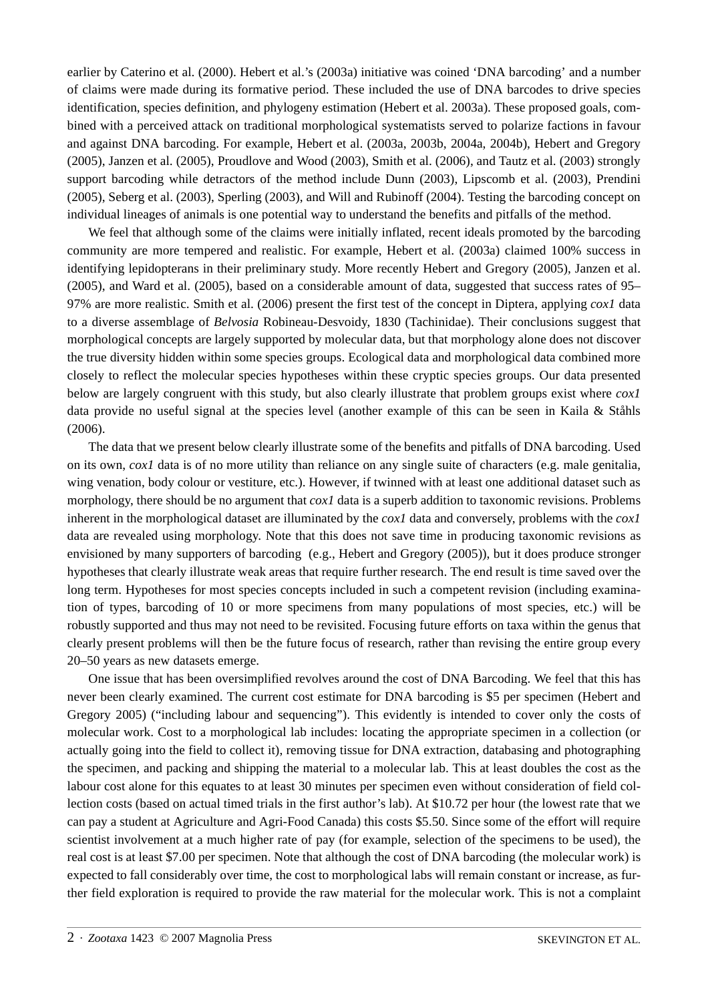earlier by Caterino et al. (2000). Hebert et al.'s (2003a) initiative was coined 'DNA barcoding' and a number of claims were made during its formative period. These included the use of DNA barcodes to drive species identification, species definition, and phylogeny estimation (Hebert et al. 2003a). These proposed goals, combined with a perceived attack on traditional morphological systematists served to polarize factions in favour and against DNA barcoding. For example, Hebert et al. (2003a, 2003b, 2004a, 2004b), Hebert and Gregory (2005), Janzen et al. (2005), Proudlove and Wood (2003), Smith et al. (2006), and Tautz et al. (2003) strongly support barcoding while detractors of the method include Dunn (2003), Lipscomb et al. (2003), Prendini (2005), Seberg et al. (2003), Sperling (2003), and Will and Rubinoff (2004). Testing the barcoding concept on individual lineages of animals is one potential way to understand the benefits and pitfalls of the method.

We feel that although some of the claims were initially inflated, recent ideals promoted by the barcoding community are more tempered and realistic. For example, Hebert et al. (2003a) claimed 100% success in identifying lepidopterans in their preliminary study. More recently Hebert and Gregory (2005), Janzen et al. (2005), and Ward et al. (2005), based on a considerable amount of data, suggested that success rates of 95– 97% are more realistic. Smith et al. (2006) present the first test of the concept in Diptera, applying *cox1* data to a diverse assemblage of *Belvosia* Robineau-Desvoidy, 1830 (Tachinidae). Their conclusions suggest that morphological concepts are largely supported by molecular data, but that morphology alone does not discover the true diversity hidden within some species groups. Ecological data and morphological data combined more closely to reflect the molecular species hypotheses within these cryptic species groups. Our data presented below are largely congruent with this study, but also clearly illustrate that problem groups exist where *cox1* data provide no useful signal at the species level (another example of this can be seen in Kaila & Ståhls (2006).

The data that we present below clearly illustrate some of the benefits and pitfalls of DNA barcoding. Used on its own, *cox1* data is of no more utility than reliance on any single suite of characters (e.g. male genitalia, wing venation, body colour or vestiture, etc.). However, if twinned with at least one additional dataset such as morphology, there should be no argument that *cox1* data is a superb addition to taxonomic revisions. Problems inherent in the morphological dataset are illuminated by the *cox1* data and conversely, problems with the *cox1* data are revealed using morphology. Note that this does not save time in producing taxonomic revisions as envisioned by many supporters of barcoding (e.g., Hebert and Gregory (2005)), but it does produce stronger hypotheses that clearly illustrate weak areas that require further research. The end result is time saved over the long term. Hypotheses for most species concepts included in such a competent revision (including examination of types, barcoding of 10 or more specimens from many populations of most species, etc.) will be robustly supported and thus may not need to be revisited. Focusing future efforts on taxa within the genus that clearly present problems will then be the future focus of research, rather than revising the entire group every 20–50 years as new datasets emerge.

One issue that has been oversimplified revolves around the cost of DNA Barcoding. We feel that this has never been clearly examined. The current cost estimate for DNA barcoding is \$5 per specimen (Hebert and Gregory 2005) ("including labour and sequencing"). This evidently is intended to cover only the costs of molecular work. Cost to a morphological lab includes: locating the appropriate specimen in a collection (or actually going into the field to collect it), removing tissue for DNA extraction, databasing and photographing the specimen, and packing and shipping the material to a molecular lab. This at least doubles the cost as the labour cost alone for this equates to at least 30 minutes per specimen even without consideration of field collection costs (based on actual timed trials in the first author's lab). At \$10.72 per hour (the lowest rate that we can pay a student at Agriculture and Agri-Food Canada) this costs \$5.50. Since some of the effort will require scientist involvement at a much higher rate of pay (for example, selection of the specimens to be used), the real cost is at least \$7.00 per specimen. Note that although the cost of DNA barcoding (the molecular work) is expected to fall considerably over time, the cost to morphological labs will remain constant or increase, as further field exploration is required to provide the raw material for the molecular work. This is not a complaint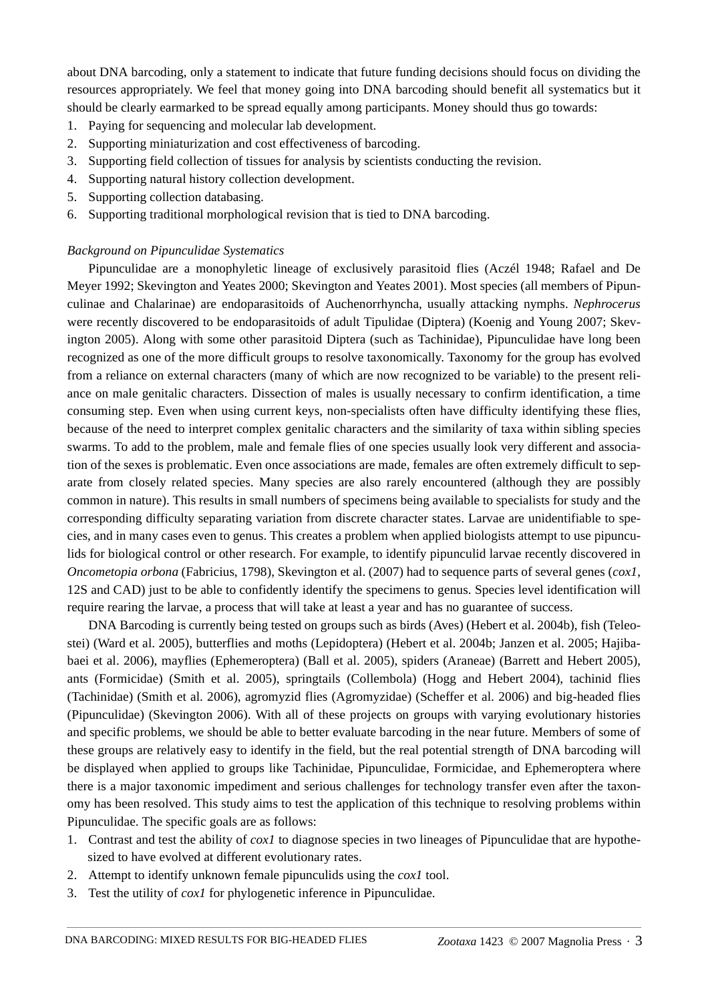about DNA barcoding, only a statement to indicate that future funding decisions should focus on dividing the resources appropriately. We feel that money going into DNA barcoding should benefit all systematics but it should be clearly earmarked to be spread equally among participants. Money should thus go towards:

- 1. Paying for sequencing and molecular lab development.
- 2. Supporting miniaturization and cost effectiveness of barcoding.
- 3. Supporting field collection of tissues for analysis by scientists conducting the revision.
- 4. Supporting natural history collection development.
- 5. Supporting collection databasing.
- 6. Supporting traditional morphological revision that is tied to DNA barcoding.

## *Background on Pipunculidae Systematics*

Pipunculidae are a monophyletic lineage of exclusively parasitoid flies (Aczél 1948; Rafael and De Meyer 1992; Skevington and Yeates 2000; Skevington and Yeates 2001). Most species (all members of Pipunculinae and Chalarinae) are endoparasitoids of Auchenorrhyncha, usually attacking nymphs. *Nephrocerus* were recently discovered to be endoparasitoids of adult Tipulidae (Diptera) (Koenig and Young 2007; Skevington 2005). Along with some other parasitoid Diptera (such as Tachinidae), Pipunculidae have long been recognized as one of the more difficult groups to resolve taxonomically. Taxonomy for the group has evolved from a reliance on external characters (many of which are now recognized to be variable) to the present reliance on male genitalic characters. Dissection of males is usually necessary to confirm identification, a time consuming step. Even when using current keys, non-specialists often have difficulty identifying these flies, because of the need to interpret complex genitalic characters and the similarity of taxa within sibling species swarms. To add to the problem, male and female flies of one species usually look very different and association of the sexes is problematic. Even once associations are made, females are often extremely difficult to separate from closely related species. Many species are also rarely encountered (although they are possibly common in nature). This results in small numbers of specimens being available to specialists for study and the corresponding difficulty separating variation from discrete character states. Larvae are unidentifiable to species, and in many cases even to genus. This creates a problem when applied biologists attempt to use pipunculids for biological control or other research. For example, to identify pipunculid larvae recently discovered in *Oncometopia orbona* (Fabricius, 1798), Skevington et al. (2007) had to sequence parts of several genes (*cox1*, 12S and CAD) just to be able to confidently identify the specimens to genus. Species level identification will require rearing the larvae, a process that will take at least a year and has no guarantee of success.

DNA Barcoding is currently being tested on groups such as birds (Aves) (Hebert et al. 2004b), fish (Teleostei) (Ward et al. 2005), butterflies and moths (Lepidoptera) (Hebert et al. 2004b; Janzen et al. 2005; Hajibabaei et al. 2006), mayflies (Ephemeroptera) (Ball et al. 2005), spiders (Araneae) (Barrett and Hebert 2005), ants (Formicidae) (Smith et al. 2005), springtails (Collembola) (Hogg and Hebert 2004), tachinid flies (Tachinidae) (Smith et al. 2006), agromyzid flies (Agromyzidae) (Scheffer et al. 2006) and big-headed flies (Pipunculidae) (Skevington 2006). With all of these projects on groups with varying evolutionary histories and specific problems, we should be able to better evaluate barcoding in the near future. Members of some of these groups are relatively easy to identify in the field, but the real potential strength of DNA barcoding will be displayed when applied to groups like Tachinidae, Pipunculidae, Formicidae, and Ephemeroptera where there is a major taxonomic impediment and serious challenges for technology transfer even after the taxonomy has been resolved. This study aims to test the application of this technique to resolving problems within Pipunculidae. The specific goals are as follows:

- 1. Contrast and test the ability of *cox1* to diagnose species in two lineages of Pipunculidae that are hypothesized to have evolved at different evolutionary rates.
- 2. Attempt to identify unknown female pipunculids using the *cox1* tool.
- 3. Test the utility of *cox1* for phylogenetic inference in Pipunculidae.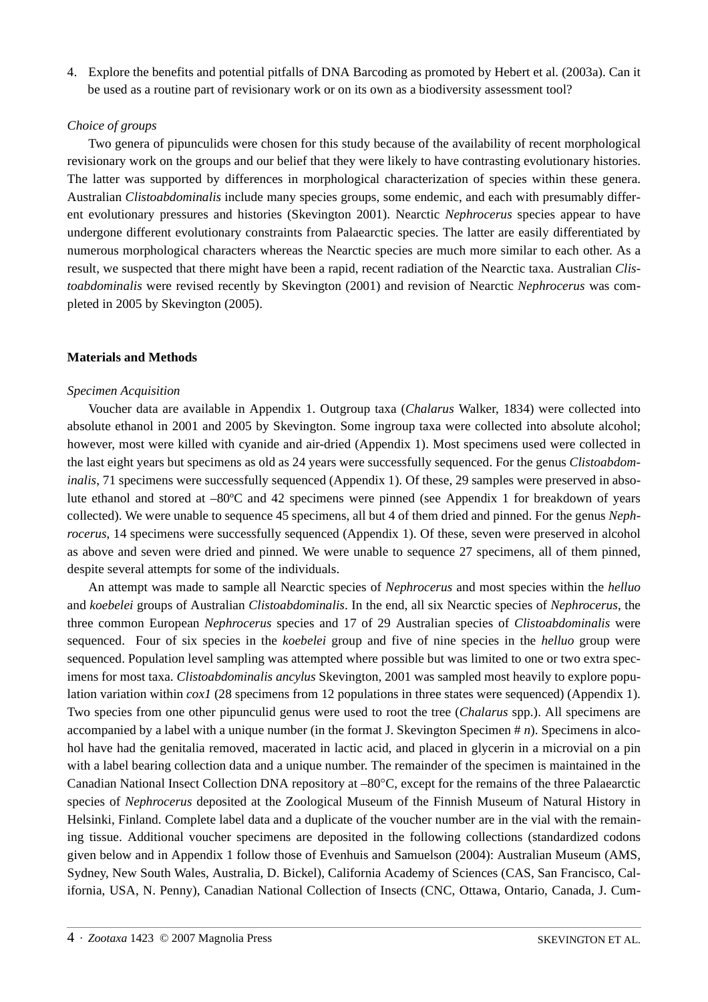4. Explore the benefits and potential pitfalls of DNA Barcoding as promoted by Hebert et al. (2003a). Can it be used as a routine part of revisionary work or on its own as a biodiversity assessment tool?

# *Choice of groups*

Two genera of pipunculids were chosen for this study because of the availability of recent morphological revisionary work on the groups and our belief that they were likely to have contrasting evolutionary histories. The latter was supported by differences in morphological characterization of species within these genera. Australian *Clistoabdominalis* include many species groups, some endemic, and each with presumably different evolutionary pressures and histories (Skevington 2001). Nearctic *Nephrocerus* species appear to have undergone different evolutionary constraints from Palaearctic species. The latter are easily differentiated by numerous morphological characters whereas the Nearctic species are much more similar to each other. As a result, we suspected that there might have been a rapid, recent radiation of the Nearctic taxa. Australian *Clistoabdominalis* were revised recently by Skevington (2001) and revision of Nearctic *Nephrocerus* was completed in 2005 by Skevington (2005).

# **Materials and Methods**

## *Specimen Acquisition*

Voucher data are available in Appendix 1. Outgroup taxa (*Chalarus* Walker, 1834) were collected into absolute ethanol in 2001 and 2005 by Skevington. Some ingroup taxa were collected into absolute alcohol; however, most were killed with cyanide and air-dried (Appendix 1). Most specimens used were collected in the last eight years but specimens as old as 24 years were successfully sequenced. For the genus *Clistoabdominalis*, 71 specimens were successfully sequenced (Appendix 1). Of these, 29 samples were preserved in absolute ethanol and stored at –80ºC and 42 specimens were pinned (see Appendix 1 for breakdown of years collected). We were unable to sequence 45 specimens, all but 4 of them dried and pinned. For the genus *Nephrocerus*, 14 specimens were successfully sequenced (Appendix 1). Of these, seven were preserved in alcohol as above and seven were dried and pinned. We were unable to sequence 27 specimens, all of them pinned, despite several attempts for some of the individuals.

An attempt was made to sample all Nearctic species of *Nephrocerus* and most species within the *helluo* and *koebelei* groups of Australian *Clistoabdominalis*. In the end, all six Nearctic species of *Nephrocerus*, the three common European *Nephrocerus* species and 17 of 29 Australian species of *Clistoabdominalis* were sequenced. Four of six species in the *koebelei* group and five of nine species in the *helluo* group were sequenced. Population level sampling was attempted where possible but was limited to one or two extra specimens for most taxa. *Clistoabdominalis ancylus* Skevington, 2001 was sampled most heavily to explore population variation within *cox1* (28 specimens from 12 populations in three states were sequenced) (Appendix 1). Two species from one other pipunculid genus were used to root the tree (*Chalarus* spp.). All specimens are accompanied by a label with a unique number (in the format J. Skevington Specimen # *n*). Specimens in alcohol have had the genitalia removed, macerated in lactic acid, and placed in glycerin in a microvial on a pin with a label bearing collection data and a unique number. The remainder of the specimen is maintained in the Canadian National Insect Collection DNA repository at –80°C, except for the remains of the three Palaearctic species of *Nephrocerus* deposited at the Zoological Museum of the Finnish Museum of Natural History in Helsinki, Finland. Complete label data and a duplicate of the voucher number are in the vial with the remaining tissue. Additional voucher specimens are deposited in the following collections (standardized codons given below and in Appendix 1 follow those of Evenhuis and Samuelson (2004): Australian Museum (AMS, Sydney, New South Wales, Australia, D. Bickel), California Academy of Sciences (CAS, San Francisco, California, USA, N. Penny), Canadian National Collection of Insects (CNC, Ottawa, Ontario, Canada, J. Cum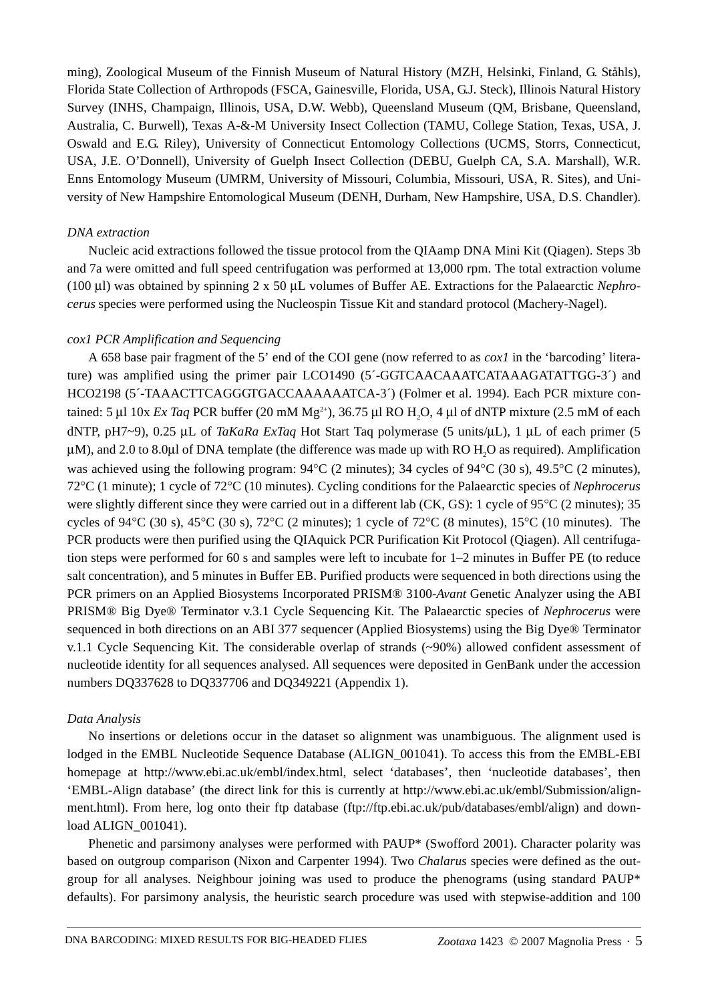ming), Zoological Museum of the Finnish Museum of Natural History (MZH, Helsinki, Finland, G. Ståhls), Florida State Collection of Arthropods (FSCA, Gainesville, Florida, USA, G.J. Steck), Illinois Natural History Survey (INHS, Champaign, Illinois, USA, D.W. Webb), Queensland Museum (QM, Brisbane, Queensland, Australia, C. Burwell), Texas A-&-M University Insect Collection (TAMU, College Station, Texas, USA, J. Oswald and E.G. Riley), University of Connecticut Entomology Collections (UCMS, Storrs, Connecticut, USA, J.E. O'Donnell), University of Guelph Insect Collection (DEBU, Guelph CA, S.A. Marshall), W.R. Enns Entomology Museum (UMRM, University of Missouri, Columbia, Missouri, USA, R. Sites), and University of New Hampshire Entomological Museum (DENH, Durham, New Hampshire, USA, D.S. Chandler).

#### *DNA extraction*

Nucleic acid extractions followed the tissue protocol from the QIAamp DNA Mini Kit (Qiagen). Steps 3b and 7a were omitted and full speed centrifugation was performed at 13,000 rpm. The total extraction volume (100 μl) was obtained by spinning 2 x 50 μL volumes of Buffer AE. Extractions for the Palaearctic *Nephrocerus* species were performed using the Nucleospin Tissue Kit and standard protocol (Machery-Nagel).

#### *cox1 PCR Amplification and Sequencing*

A 658 base pair fragment of the 5' end of the COI gene (now referred to as *cox1* in the 'barcoding' literature) was amplified using the primer pair LCO1490 (5´-GGTCAACAAATCATAAAGATATTGG-3´) and HCO2198 (5´-TAAACTTCAGGGTGACCAAAAAATCA-3´) (Folmer et al. 1994). Each PCR mixture contained: 5 μl 10x *Ex Taq* PCR buffer (20 mM  $Mg^{2+}$ ), 36.75 μl RO H<sub>2</sub>O, 4 μl of dNTP mixture (2.5 mM of each dNTP, pH7~9), 0.25 μL of *TaKaRa ExTaq* Hot Start Taq polymerase (5 units/μL), 1 μL of each primer (5  $\mu$ M), and 2.0 to 8.0 $\mu$ l of DNA template (the difference was made up with RO H<sub>2</sub>O as required). Amplification was achieved using the following program:  $94^{\circ}C$  (2 minutes); 34 cycles of  $94^{\circ}C$  (30 s),  $49.5^{\circ}C$  (2 minutes), 72°C (1 minute); 1 cycle of 72°C (10 minutes). Cycling conditions for the Palaearctic species of *Nephrocerus* were slightly different since they were carried out in a different lab (CK, GS): 1 cycle of 95°C (2 minutes); 35 cycles of 94 $\degree$ C (30 s), 45 $\degree$ C (30 s), 72 $\degree$ C (2 minutes); 1 cycle of 72 $\degree$ C (8 minutes), 15 $\degree$ C (10 minutes). The PCR products were then purified using the QIAquick PCR Purification Kit Protocol (Qiagen). All centrifugation steps were performed for 60 s and samples were left to incubate for 1–2 minutes in Buffer PE (to reduce salt concentration), and 5 minutes in Buffer EB. Purified products were sequenced in both directions using the PCR primers on an Applied Biosystems Incorporated PRISM® 3100-*Avant* Genetic Analyzer using the ABI PRISM® Big Dye® Terminator v.3.1 Cycle Sequencing Kit. The Palaearctic species of *Nephrocerus* were sequenced in both directions on an ABI 377 sequencer (Applied Biosystems) using the Big Dye® Terminator v.1.1 Cycle Sequencing Kit. The considerable overlap of strands (~90%) allowed confident assessment of nucleotide identity for all sequences analysed. All sequences were deposited in GenBank under the accession numbers DQ337628 to DQ337706 and DQ349221 (Appendix 1).

#### *Data Analysis*

No insertions or deletions occur in the dataset so alignment was unambiguous. The alignment used is lodged in the EMBL Nucleotide Sequence Database (ALIGN 001041). To access this from the EMBL-EBI homepage at http://www.ebi.ac.uk/embl/index.html, select 'databases', then 'nucleotide databases', then 'EMBL-Align database' (the direct link for this is currently at http://www.ebi.ac.uk/embl/Submission/alignment.html). From here, log onto their ftp database (ftp://ftp.ebi.ac.uk/pub/databases/embl/align) and download ALIGN\_001041).

Phenetic and parsimony analyses were performed with PAUP\* (Swofford 2001). Character polarity was based on outgroup comparison (Nixon and Carpenter 1994). Two *Chalarus* species were defined as the outgroup for all analyses. Neighbour joining was used to produce the phenograms (using standard PAUP $*$ defaults). For parsimony analysis, the heuristic search procedure was used with stepwise-addition and 100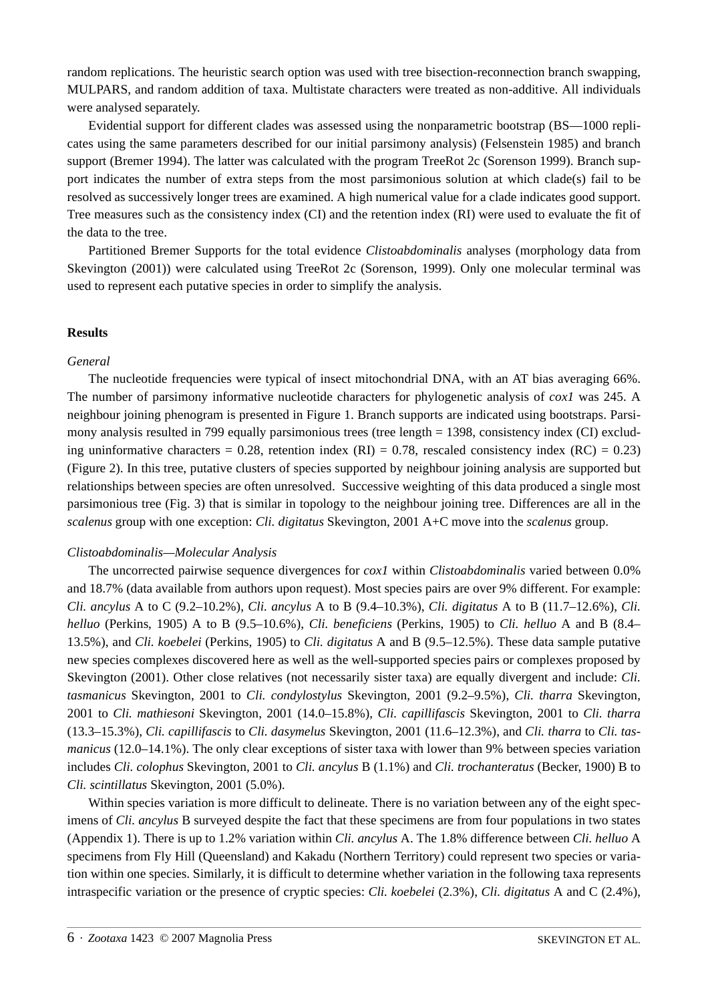random replications. The heuristic search option was used with tree bisection-reconnection branch swapping, MULPARS, and random addition of taxa. Multistate characters were treated as non-additive. All individuals were analysed separately.

Evidential support for different clades was assessed using the nonparametric bootstrap (BS—1000 replicates using the same parameters described for our initial parsimony analysis) (Felsenstein 1985) and branch support (Bremer 1994). The latter was calculated with the program TreeRot 2c (Sorenson 1999). Branch support indicates the number of extra steps from the most parsimonious solution at which clade(s) fail to be resolved as successively longer trees are examined. A high numerical value for a clade indicates good support. Tree measures such as the consistency index (CI) and the retention index (RI) were used to evaluate the fit of the data to the tree.

Partitioned Bremer Supports for the total evidence *Clistoabdominalis* analyses (morphology data from Skevington (2001)) were calculated using TreeRot 2c (Sorenson, 1999). Only one molecular terminal was used to represent each putative species in order to simplify the analysis.

#### **Results**

## *General*

The nucleotide frequencies were typical of insect mitochondrial DNA, with an AT bias averaging 66%. The number of parsimony informative nucleotide characters for phylogenetic analysis of *cox1* was 245. A neighbour joining phenogram is presented in Figure 1. Branch supports are indicated using bootstraps. Parsimony analysis resulted in 799 equally parsimonious trees (tree length = 1398, consistency index (CI) excluding uninformative characters = 0.28, retention index (RI) = 0.78, rescaled consistency index (RC) = 0.23) (Figure 2). In this tree, putative clusters of species supported by neighbour joining analysis are supported but relationships between species are often unresolved. Successive weighting of this data produced a single most parsimonious tree (Fig. 3) that is similar in topology to the neighbour joining tree. Differences are all in the *scalenus* group with one exception: *Cli. digitatus* Skevington, 2001 A+C move into the *scalenus* group.

## *Clistoabdominalis—Molecular Analysis*

The uncorrected pairwise sequence divergences for *cox1* within *Clistoabdominalis* varied between 0.0% and 18.7% (data available from authors upon request). Most species pairs are over 9% different. For example: *Cli. ancylus* A to C (9.2–10.2%), *Cli. ancylus* A to B (9.4–10.3%), *Cli. digitatus* A to B (11.7–12.6%), *Cli. helluo* (Perkins, 1905) A to B (9.5–10.6%), *Cli. beneficiens* (Perkins, 1905) to *Cli. helluo* A and B (8.4– 13.5%), and *Cli. koebelei* (Perkins, 1905) to *Cli. digitatus* A and B (9.5–12.5%). These data sample putative new species complexes discovered here as well as the well-supported species pairs or complexes proposed by Skevington (2001). Other close relatives (not necessarily sister taxa) are equally divergent and include: *Cli. tasmanicus* Skevington, 2001 to *Cli. condylostylus* Skevington, 2001 (9.2–9.5%), *Cli. tharra* Skevington, 2001 to *Cli. mathiesoni* Skevington, 2001 (14.0–15.8%), *Cli. capillifascis* Skevington, 2001 to *Cli. tharra* (13.3–15.3%), *Cli. capillifascis* to *Cli. dasymelus* Skevington, 2001 (11.6–12.3%), and *Cli. tharra* to *Cli. tasmanicus* (12.0–14.1%). The only clear exceptions of sister taxa with lower than 9% between species variation includes *Cli. colophus* Skevington, 2001 to *Cli. ancylus* B (1.1%) and *Cli. trochanteratus* (Becker, 1900) B to *Cli. scintillatus* Skevington, 2001 (5.0%).

Within species variation is more difficult to delineate. There is no variation between any of the eight specimens of *Cli. ancylus* B surveyed despite the fact that these specimens are from four populations in two states (Appendix 1). There is up to 1.2% variation within *Cli. ancylus* A. The 1.8% difference between *Cli. helluo* A specimens from Fly Hill (Queensland) and Kakadu (Northern Territory) could represent two species or variation within one species. Similarly, it is difficult to determine whether variation in the following taxa represents intraspecific variation or the presence of cryptic species: *Cli. koebelei* (2.3%), *Cli. digitatus* A and C (2.4%),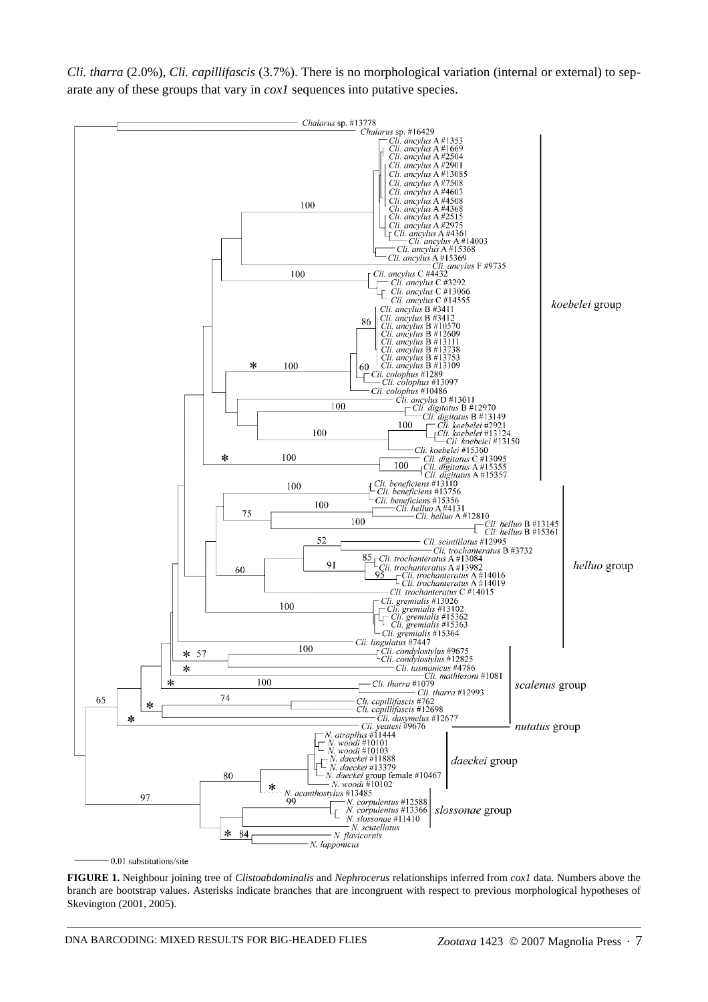

*Cli. tharra* (2.0%), *Cli. capillifascis* (3.7%). There is no morphological variation (internal or external) to separate any of these groups that vary in *cox1* sequences into putative species.

0.01 substitutions/site

**FIGURE 1.** Neighbour joining tree of *Clistoabdominalis* and *Nephrocerus* relationships inferred from *cox1* data. Numbers above the branch are bootstrap values. Asterisks indicate branches that are incongruent with respect to previous morphological hypotheses of Skevington (2001, 2005).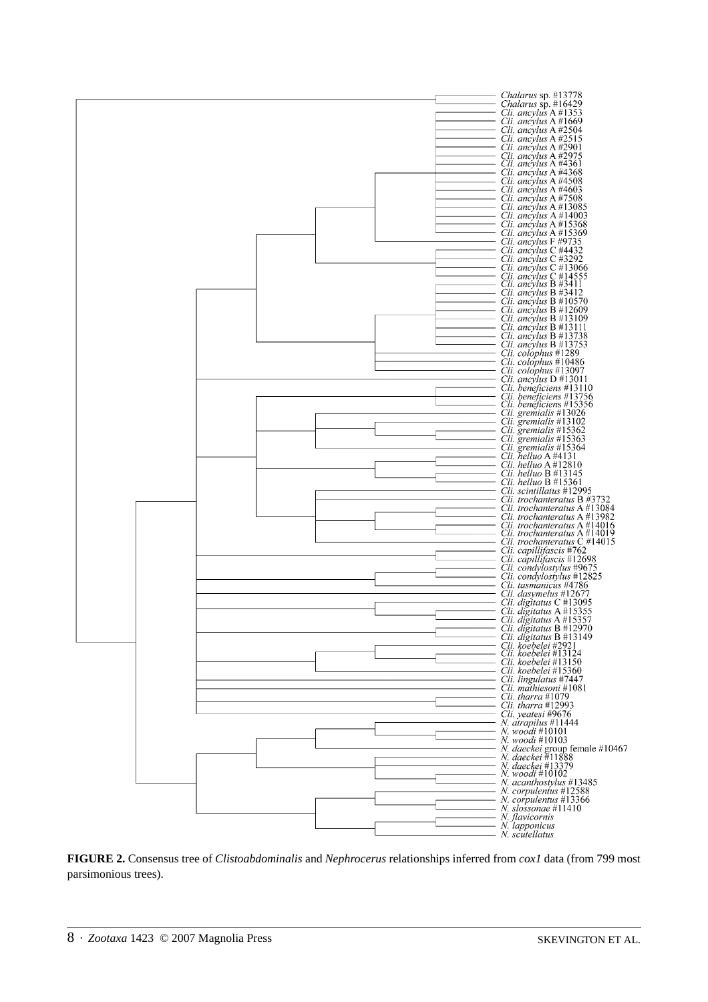

**FIGURE 2.** Consensus tree of *Clistoabdominalis* and *Nephrocerus* relationships inferred from *cox1* data (from 799 most parsimonious trees).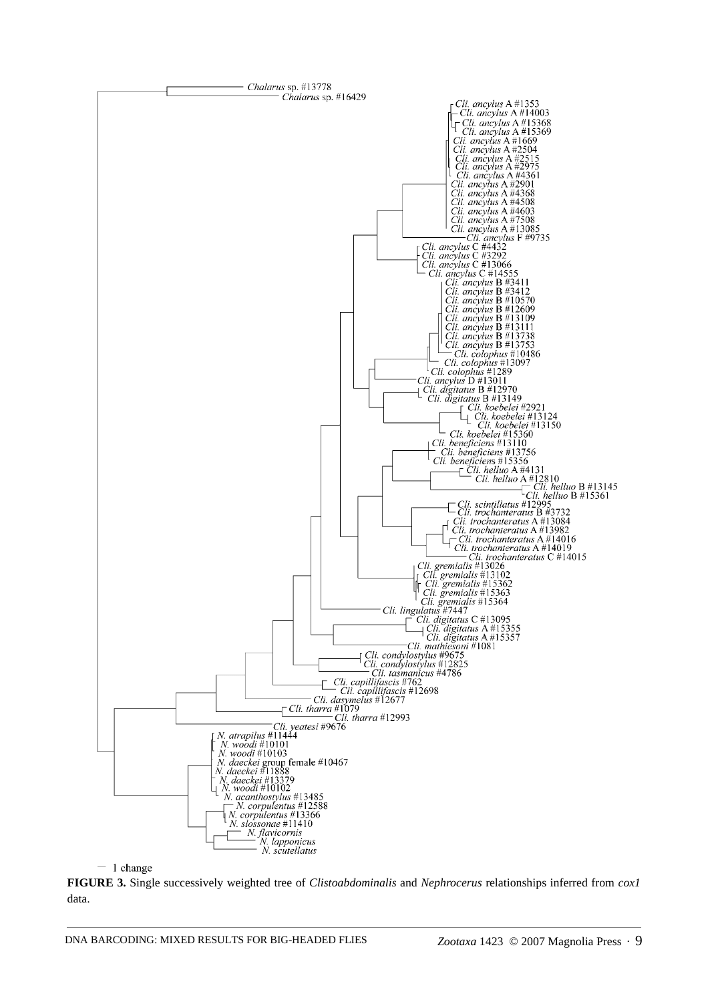

 $-1$  change

**FIGURE 3.** Single successively weighted tree of *Clistoabdominalis* and *Nephrocerus* relationships inferred from *cox1* data.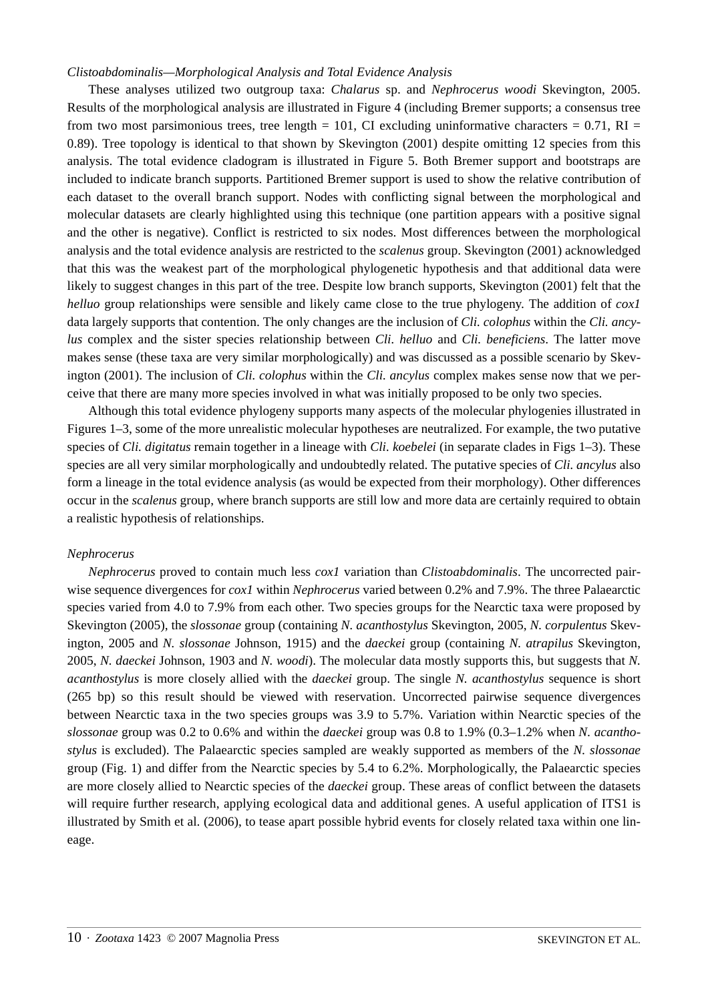## *Clistoabdominalis—Morphological Analysis and Total Evidence Analysis*

These analyses utilized two outgroup taxa: *Chalarus* sp. and *Nephrocerus woodi* Skevington, 2005. Results of the morphological analysis are illustrated in Figure 4 (including Bremer supports; a consensus tree from two most parsimonious trees, tree length = 101, CI excluding uninformative characters = 0.71, RI = 0.89). Tree topology is identical to that shown by Skevington (2001) despite omitting 12 species from this analysis. The total evidence cladogram is illustrated in Figure 5. Both Bremer support and bootstraps are included to indicate branch supports. Partitioned Bremer support is used to show the relative contribution of each dataset to the overall branch support. Nodes with conflicting signal between the morphological and molecular datasets are clearly highlighted using this technique (one partition appears with a positive signal and the other is negative). Conflict is restricted to six nodes. Most differences between the morphological analysis and the total evidence analysis are restricted to the *scalenus* group. Skevington (2001) acknowledged that this was the weakest part of the morphological phylogenetic hypothesis and that additional data were likely to suggest changes in this part of the tree. Despite low branch supports, Skevington (2001) felt that the *helluo* group relationships were sensible and likely came close to the true phylogeny. The addition of *cox1* data largely supports that contention. The only changes are the inclusion of *Cli. colophus* within the *Cli. ancylus* complex and the sister species relationship between *Cli. helluo* and *Cli. beneficiens*. The latter move makes sense (these taxa are very similar morphologically) and was discussed as a possible scenario by Skevington (2001). The inclusion of *Cli. colophus* within the *Cli. ancylus* complex makes sense now that we perceive that there are many more species involved in what was initially proposed to be only two species.

Although this total evidence phylogeny supports many aspects of the molecular phylogenies illustrated in Figures 1–3, some of the more unrealistic molecular hypotheses are neutralized. For example, the two putative species of *Cli. digitatus* remain together in a lineage with *Cli. koebelei* (in separate clades in Figs 1–3). These species are all very similar morphologically and undoubtedly related. The putative species of *Cli. ancylus* also form a lineage in the total evidence analysis (as would be expected from their morphology). Other differences occur in the *scalenus* group, where branch supports are still low and more data are certainly required to obtain a realistic hypothesis of relationships.

## *Nephrocerus*

*Nephrocerus* proved to contain much less *cox1* variation than *Clistoabdominalis*. The uncorrected pairwise sequence divergences for *cox1* within *Nephrocerus* varied between 0.2% and 7.9%. The three Palaearctic species varied from 4.0 to 7.9% from each other. Two species groups for the Nearctic taxa were proposed by Skevington (2005), the *slossonae* group (containing *N. acanthostylus* Skevington, 2005, *N. corpulentus* Skevington, 2005 and *N. slossonae* Johnson, 1915) and the *daeckei* group (containing *N. atrapilus* Skevington, 2005, *N. daeckei* Johnson, 1903 and *N. woodi*). The molecular data mostly supports this, but suggests that *N. acanthostylus* is more closely allied with the *daeckei* group. The single *N. acanthostylus* sequence is short (265 bp) so this result should be viewed with reservation. Uncorrected pairwise sequence divergences between Nearctic taxa in the two species groups was 3.9 to 5.7%. Variation within Nearctic species of the *slossonae* group was 0.2 to 0.6% and within the *daeckei* group was 0.8 to 1.9% (0.3–1.2% when *N. acanthostylus* is excluded). The Palaearctic species sampled are weakly supported as members of the *N. slossonae* group (Fig. 1) and differ from the Nearctic species by 5.4 to 6.2%. Morphologically, the Palaearctic species are more closely allied to Nearctic species of the *daeckei* group. These areas of conflict between the datasets will require further research, applying ecological data and additional genes. A useful application of ITS1 is illustrated by Smith et al. (2006), to tease apart possible hybrid events for closely related taxa within one lineage.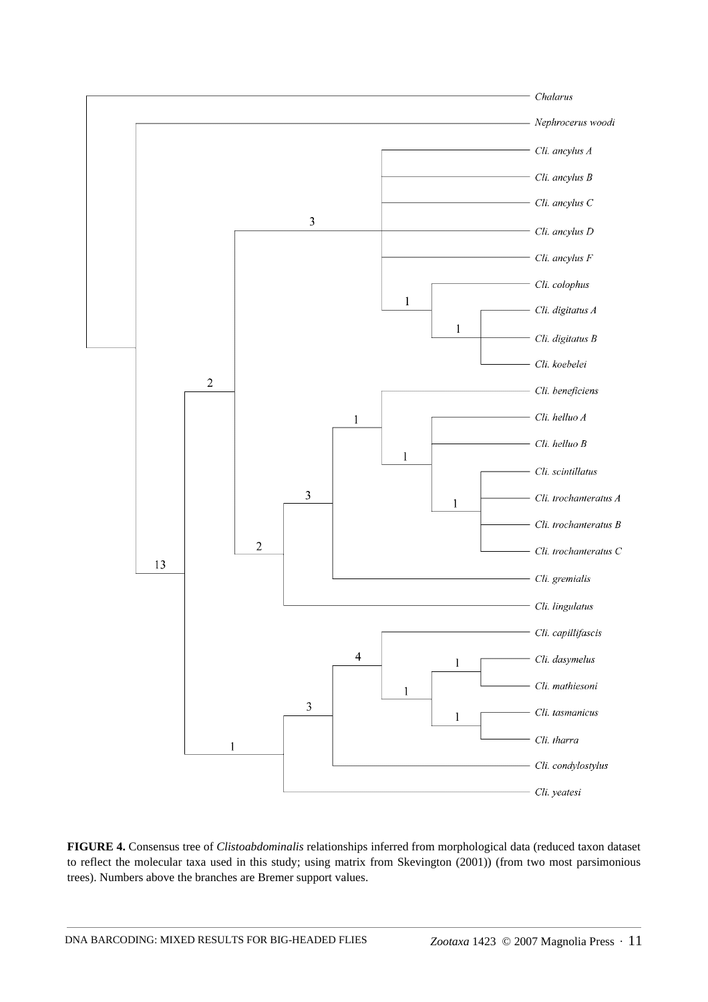

**FIGURE 4.** Consensus tree of *Clistoabdominalis* relationships inferred from morphological data (reduced taxon dataset to reflect the molecular taxa used in this study; using matrix from Skevington (2001)) (from two most parsimonious trees). Numbers above the branches are Bremer support values.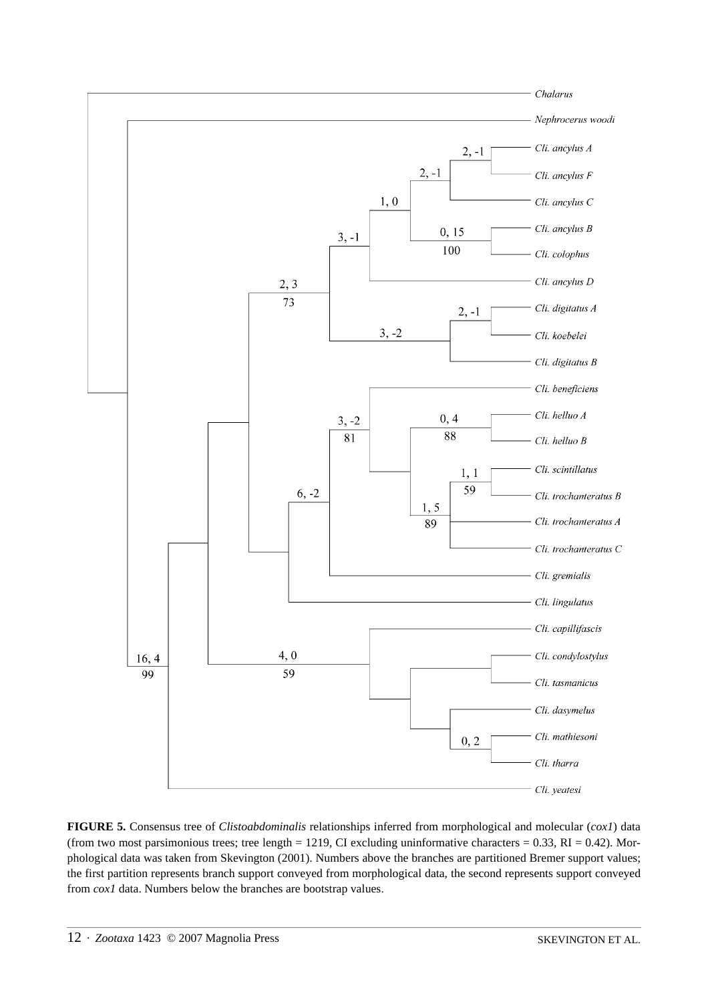

**FIGURE 5.** Consensus tree of *Clistoabdominalis* relationships inferred from morphological and molecular (*cox1*) data (from two most parsimonious trees; tree length = 1219, CI excluding uninformative characters =  $0.33$ , RI =  $0.42$ ). Morphological data was taken from Skevington (2001). Numbers above the branches are partitioned Bremer support values; the first partition represents branch support conveyed from morphological data, the second represents support conveyed from *cox1* data. Numbers below the branches are bootstrap values.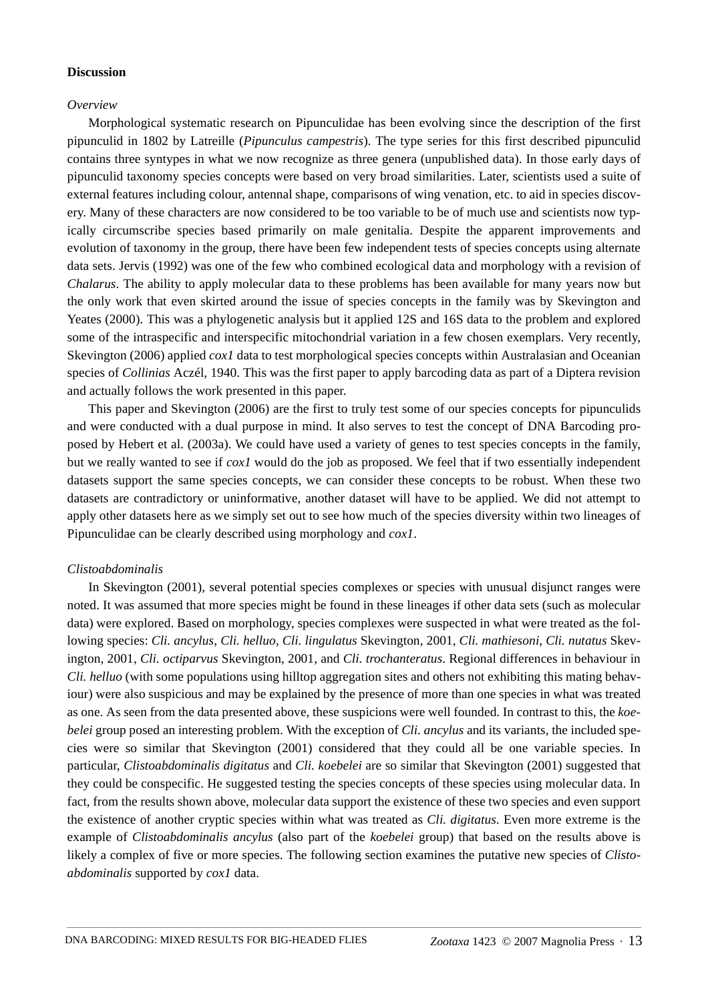#### **Discussion**

#### *Overview*

Morphological systematic research on Pipunculidae has been evolving since the description of the first pipunculid in 1802 by Latreille (*Pipunculus campestris*). The type series for this first described pipunculid contains three syntypes in what we now recognize as three genera (unpublished data). In those early days of pipunculid taxonomy species concepts were based on very broad similarities. Later, scientists used a suite of external features including colour, antennal shape, comparisons of wing venation, etc. to aid in species discovery. Many of these characters are now considered to be too variable to be of much use and scientists now typically circumscribe species based primarily on male genitalia. Despite the apparent improvements and evolution of taxonomy in the group, there have been few independent tests of species concepts using alternate data sets. Jervis (1992) was one of the few who combined ecological data and morphology with a revision of *Chalarus*. The ability to apply molecular data to these problems has been available for many years now but the only work that even skirted around the issue of species concepts in the family was by Skevington and Yeates (2000). This was a phylogenetic analysis but it applied 12S and 16S data to the problem and explored some of the intraspecific and interspecific mitochondrial variation in a few chosen exemplars. Very recently, Skevington (2006) applied *cox1* data to test morphological species concepts within Australasian and Oceanian species of *Collinias* Aczél, 1940. This was the first paper to apply barcoding data as part of a Diptera revision and actually follows the work presented in this paper.

This paper and Skevington (2006) are the first to truly test some of our species concepts for pipunculids and were conducted with a dual purpose in mind. It also serves to test the concept of DNA Barcoding proposed by Hebert et al. (2003a). We could have used a variety of genes to test species concepts in the family, but we really wanted to see if *cox1* would do the job as proposed. We feel that if two essentially independent datasets support the same species concepts, we can consider these concepts to be robust. When these two datasets are contradictory or uninformative, another dataset will have to be applied. We did not attempt to apply other datasets here as we simply set out to see how much of the species diversity within two lineages of Pipunculidae can be clearly described using morphology and *cox1*.

## *Clistoabdominalis*

In Skevington (2001), several potential species complexes or species with unusual disjunct ranges were noted. It was assumed that more species might be found in these lineages if other data sets (such as molecular data) were explored. Based on morphology, species complexes were suspected in what were treated as the following species: *Cli. ancylus*, *Cli. helluo*, *Cli. lingulatus* Skevington, 2001, *Cli. mathiesoni*, *Cli. nutatus* Skevington, 2001, *Cli. octiparvus* Skevington, 2001, and *Cli. trochanteratus*. Regional differences in behaviour in *Cli. helluo* (with some populations using hilltop aggregation sites and others not exhibiting this mating behaviour) were also suspicious and may be explained by the presence of more than one species in what was treated as one. As seen from the data presented above, these suspicions were well founded. In contrast to this, the *koebelei* group posed an interesting problem. With the exception of *Cli. ancylus* and its variants, the included species were so similar that Skevington (2001) considered that they could all be one variable species. In particular, *Clistoabdominalis digitatus* and *Cli. koebelei* are so similar that Skevington (2001) suggested that they could be conspecific. He suggested testing the species concepts of these species using molecular data. In fact, from the results shown above, molecular data support the existence of these two species and even support the existence of another cryptic species within what was treated as *Cli. digitatus*. Even more extreme is the example of *Clistoabdominalis ancylus* (also part of the *koebelei* group) that based on the results above is likely a complex of five or more species. The following section examines the putative new species of *Clistoabdominalis* supported by *cox1* data.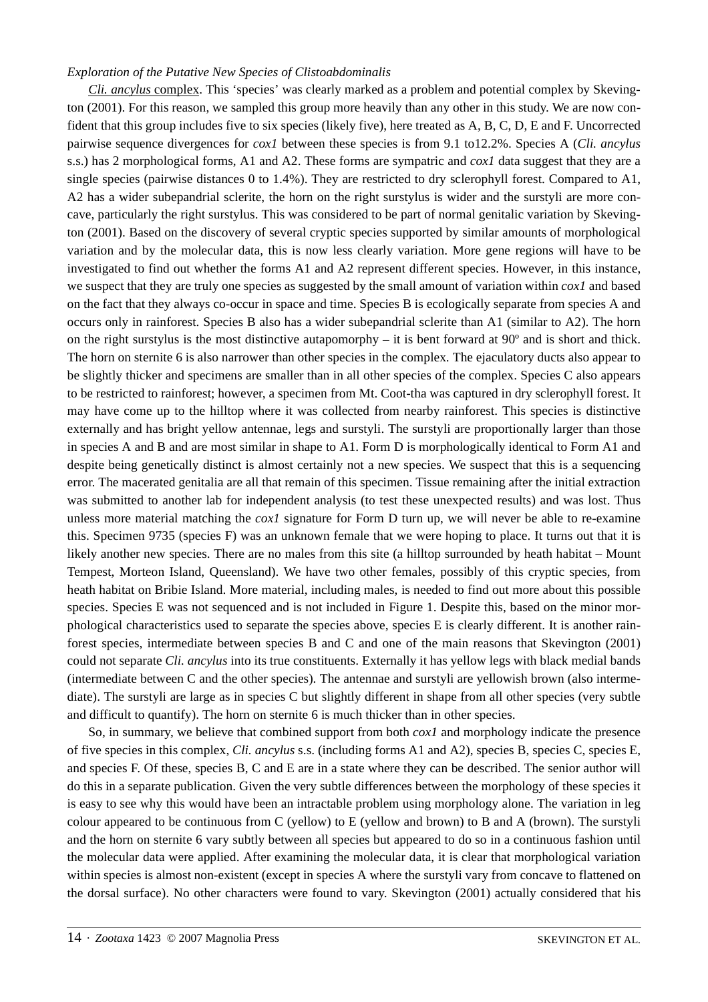# *Exploration of the Putative New Species of Clistoabdominalis*

*Cli. ancylus* complex. This 'species' was clearly marked as a problem and potential complex by Skevington (2001). For this reason, we sampled this group more heavily than any other in this study. We are now confident that this group includes five to six species (likely five), here treated as A, B, C, D, E and F. Uncorrected pairwise sequence divergences for *cox1* between these species is from 9.1 to12.2%. Species A (*Cli. ancylus* s.s.) has 2 morphological forms, A1 and A2. These forms are sympatric and *cox1* data suggest that they are a single species (pairwise distances 0 to 1.4%). They are restricted to dry sclerophyll forest. Compared to A1, A2 has a wider subepandrial sclerite, the horn on the right surstylus is wider and the surstyli are more concave, particularly the right surstylus. This was considered to be part of normal genitalic variation by Skevington (2001). Based on the discovery of several cryptic species supported by similar amounts of morphological variation and by the molecular data, this is now less clearly variation. More gene regions will have to be investigated to find out whether the forms A1 and A2 represent different species. However, in this instance, we suspect that they are truly one species as suggested by the small amount of variation within *cox1* and based on the fact that they always co-occur in space and time. Species B is ecologically separate from species A and occurs only in rainforest. Species B also has a wider subepandrial sclerite than A1 (similar to A2). The horn on the right surstylus is the most distinctive autapomorphy – it is bent forward at  $90^\circ$  and is short and thick. The horn on sternite 6 is also narrower than other species in the complex. The ejaculatory ducts also appear to be slightly thicker and specimens are smaller than in all other species of the complex. Species C also appears to be restricted to rainforest; however, a specimen from Mt. Coot-tha was captured in dry sclerophyll forest. It may have come up to the hilltop where it was collected from nearby rainforest. This species is distinctive externally and has bright yellow antennae, legs and surstyli. The surstyli are proportionally larger than those in species A and B and are most similar in shape to A1. Form D is morphologically identical to Form A1 and despite being genetically distinct is almost certainly not a new species. We suspect that this is a sequencing error. The macerated genitalia are all that remain of this specimen. Tissue remaining after the initial extraction was submitted to another lab for independent analysis (to test these unexpected results) and was lost. Thus unless more material matching the *cox1* signature for Form D turn up, we will never be able to re-examine this. Specimen 9735 (species F) was an unknown female that we were hoping to place. It turns out that it is likely another new species. There are no males from this site (a hilltop surrounded by heath habitat – Mount Tempest, Morteon Island, Queensland). We have two other females, possibly of this cryptic species, from heath habitat on Bribie Island. More material, including males, is needed to find out more about this possible species. Species E was not sequenced and is not included in Figure 1. Despite this, based on the minor morphological characteristics used to separate the species above, species E is clearly different. It is another rainforest species, intermediate between species B and C and one of the main reasons that Skevington (2001) could not separate *Cli. ancylus* into its true constituents. Externally it has yellow legs with black medial bands (intermediate between C and the other species). The antennae and surstyli are yellowish brown (also intermediate). The surstyli are large as in species C but slightly different in shape from all other species (very subtle and difficult to quantify). The horn on sternite 6 is much thicker than in other species.

So, in summary, we believe that combined support from both *cox1* and morphology indicate the presence of five species in this complex, *Cli. ancylus* s.s. (including forms A1 and A2), species B, species C, species E, and species F. Of these, species B, C and E are in a state where they can be described. The senior author will do this in a separate publication. Given the very subtle differences between the morphology of these species it is easy to see why this would have been an intractable problem using morphology alone. The variation in leg colour appeared to be continuous from C (yellow) to E (yellow and brown) to B and A (brown). The surstyli and the horn on sternite 6 vary subtly between all species but appeared to do so in a continuous fashion until the molecular data were applied. After examining the molecular data, it is clear that morphological variation within species is almost non-existent (except in species A where the surstyli vary from concave to flattened on the dorsal surface). No other characters were found to vary. Skevington (2001) actually considered that his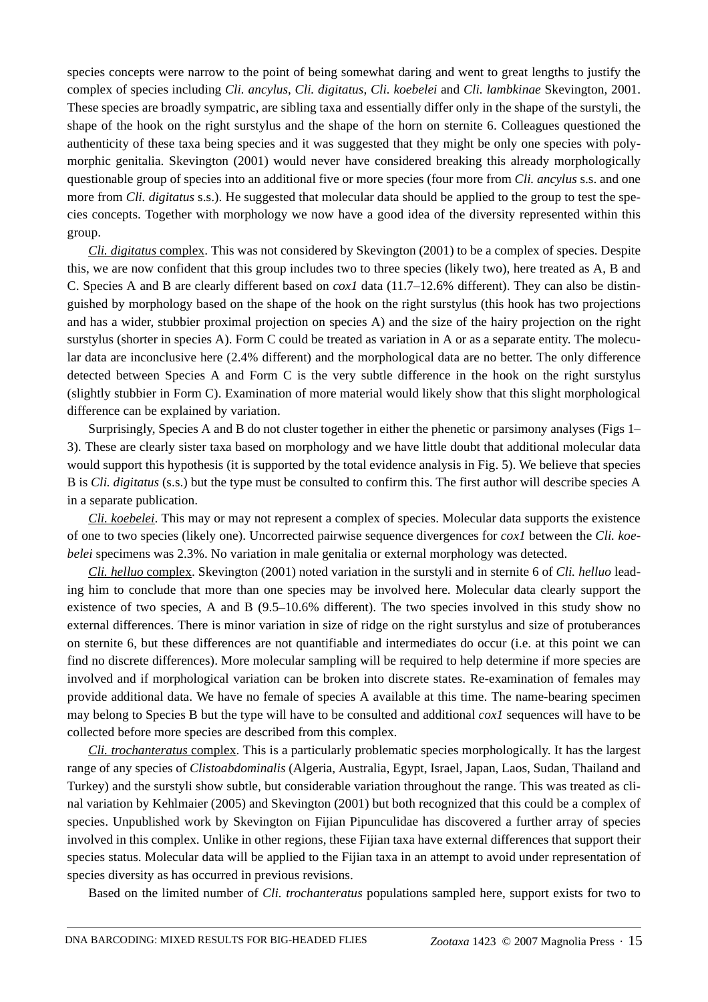species concepts were narrow to the point of being somewhat daring and went to great lengths to justify the complex of species including *Cli. ancylus*, *Cli. digitatus*, *Cli. koebelei* and *Cli. lambkinae* Skevington, 2001. These species are broadly sympatric, are sibling taxa and essentially differ only in the shape of the surstyli, the shape of the hook on the right surstylus and the shape of the horn on sternite 6. Colleagues questioned the authenticity of these taxa being species and it was suggested that they might be only one species with polymorphic genitalia. Skevington (2001) would never have considered breaking this already morphologically questionable group of species into an additional five or more species (four more from *Cli. ancylus* s.s. and one more from *Cli. digitatus* s.s.). He suggested that molecular data should be applied to the group to test the species concepts. Together with morphology we now have a good idea of the diversity represented within this group.

*Cli. digitatus* complex. This was not considered by Skevington (2001) to be a complex of species. Despite this, we are now confident that this group includes two to three species (likely two), here treated as A, B and C. Species A and B are clearly different based on *cox1* data (11.7–12.6% different). They can also be distinguished by morphology based on the shape of the hook on the right surstylus (this hook has two projections and has a wider, stubbier proximal projection on species A) and the size of the hairy projection on the right surstylus (shorter in species A). Form C could be treated as variation in A or as a separate entity. The molecular data are inconclusive here (2.4% different) and the morphological data are no better. The only difference detected between Species A and Form C is the very subtle difference in the hook on the right surstylus (slightly stubbier in Form C). Examination of more material would likely show that this slight morphological difference can be explained by variation.

Surprisingly, Species A and B do not cluster together in either the phenetic or parsimony analyses (Figs 1– 3). These are clearly sister taxa based on morphology and we have little doubt that additional molecular data would support this hypothesis (it is supported by the total evidence analysis in Fig. 5). We believe that species B is *Cli. digitatus* (s.s.) but the type must be consulted to confirm this. The first author will describe species A in a separate publication.

*Cli. koebelei*. This may or may not represent a complex of species. Molecular data supports the existence of one to two species (likely one). Uncorrected pairwise sequence divergences for *cox1* between the *Cli. koebelei* specimens was 2.3%. No variation in male genitalia or external morphology was detected.

*Cli. helluo* complex. Skevington (2001) noted variation in the surstyli and in sternite 6 of *Cli. helluo* leading him to conclude that more than one species may be involved here. Molecular data clearly support the existence of two species, A and B (9.5–10.6% different). The two species involved in this study show no external differences. There is minor variation in size of ridge on the right surstylus and size of protuberances on sternite 6, but these differences are not quantifiable and intermediates do occur (i.e. at this point we can find no discrete differences). More molecular sampling will be required to help determine if more species are involved and if morphological variation can be broken into discrete states. Re-examination of females may provide additional data. We have no female of species A available at this time. The name-bearing specimen may belong to Species B but the type will have to be consulted and additional *cox1* sequences will have to be collected before more species are described from this complex.

*Cli. trochanteratus* complex. This is a particularly problematic species morphologically. It has the largest range of any species of *Clistoabdominalis* (Algeria, Australia, Egypt, Israel, Japan, Laos, Sudan, Thailand and Turkey) and the surstyli show subtle, but considerable variation throughout the range. This was treated as clinal variation by Kehlmaier (2005) and Skevington (2001) but both recognized that this could be a complex of species. Unpublished work by Skevington on Fijian Pipunculidae has discovered a further array of species involved in this complex. Unlike in other regions, these Fijian taxa have external differences that support their species status. Molecular data will be applied to the Fijian taxa in an attempt to avoid under representation of species diversity as has occurred in previous revisions.

Based on the limited number of *Cli. trochanteratus* populations sampled here, support exists for two to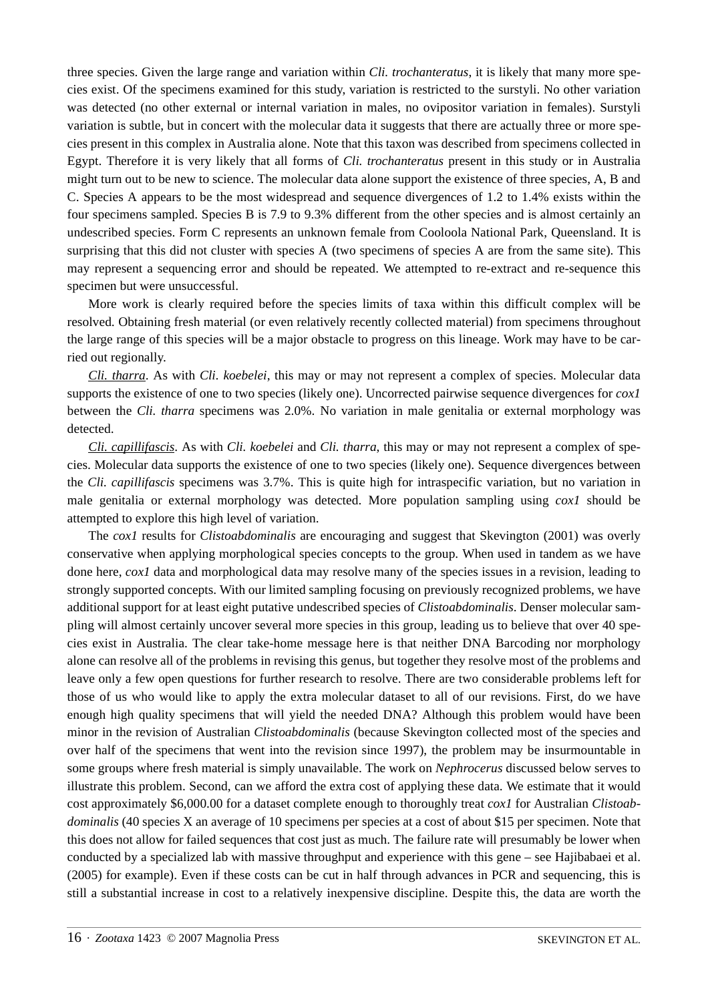three species. Given the large range and variation within *Cli. trochanteratus*, it is likely that many more species exist. Of the specimens examined for this study, variation is restricted to the surstyli. No other variation was detected (no other external or internal variation in males, no ovipositor variation in females). Surstyli variation is subtle, but in concert with the molecular data it suggests that there are actually three or more species present in this complex in Australia alone. Note that this taxon was described from specimens collected in Egypt. Therefore it is very likely that all forms of *Cli. trochanteratus* present in this study or in Australia might turn out to be new to science. The molecular data alone support the existence of three species, A, B and C. Species A appears to be the most widespread and sequence divergences of 1.2 to 1.4% exists within the four specimens sampled. Species B is 7.9 to 9.3% different from the other species and is almost certainly an undescribed species. Form C represents an unknown female from Cooloola National Park, Queensland. It is surprising that this did not cluster with species A (two specimens of species A are from the same site). This may represent a sequencing error and should be repeated. We attempted to re-extract and re-sequence this specimen but were unsuccessful.

More work is clearly required before the species limits of taxa within this difficult complex will be resolved. Obtaining fresh material (or even relatively recently collected material) from specimens throughout the large range of this species will be a major obstacle to progress on this lineage. Work may have to be carried out regionally.

*Cli. tharra*. As with *Cli. koebelei*, this may or may not represent a complex of species. Molecular data supports the existence of one to two species (likely one). Uncorrected pairwise sequence divergences for *cox1* between the *Cli. tharra* specimens was 2.0%. No variation in male genitalia or external morphology was detected.

*Cli. capillifascis*. As with *Cli. koebelei* and *Cli. tharra*, this may or may not represent a complex of species. Molecular data supports the existence of one to two species (likely one). Sequence divergences between the *Cli. capillifascis* specimens was 3.7%. This is quite high for intraspecific variation, but no variation in male genitalia or external morphology was detected. More population sampling using *cox1* should be attempted to explore this high level of variation.

The *cox1* results for *Clistoabdominalis* are encouraging and suggest that Skevington (2001) was overly conservative when applying morphological species concepts to the group. When used in tandem as we have done here, *cox1* data and morphological data may resolve many of the species issues in a revision, leading to strongly supported concepts. With our limited sampling focusing on previously recognized problems, we have additional support for at least eight putative undescribed species of *Clistoabdominalis*. Denser molecular sampling will almost certainly uncover several more species in this group, leading us to believe that over 40 species exist in Australia. The clear take-home message here is that neither DNA Barcoding nor morphology alone can resolve all of the problems in revising this genus, but together they resolve most of the problems and leave only a few open questions for further research to resolve. There are two considerable problems left for those of us who would like to apply the extra molecular dataset to all of our revisions. First, do we have enough high quality specimens that will yield the needed DNA? Although this problem would have been minor in the revision of Australian *Clistoabdominalis* (because Skevington collected most of the species and over half of the specimens that went into the revision since 1997), the problem may be insurmountable in some groups where fresh material is simply unavailable. The work on *Nephrocerus* discussed below serves to illustrate this problem. Second, can we afford the extra cost of applying these data. We estimate that it would cost approximately \$6,000.00 for a dataset complete enough to thoroughly treat *cox1* for Australian *Clistoabdominalis* (40 species X an average of 10 specimens per species at a cost of about \$15 per specimen. Note that this does not allow for failed sequences that cost just as much. The failure rate will presumably be lower when conducted by a specialized lab with massive throughput and experience with this gene – see Hajibabaei et al. (2005) for example). Even if these costs can be cut in half through advances in PCR and sequencing, this is still a substantial increase in cost to a relatively inexpensive discipline. Despite this, the data are worth the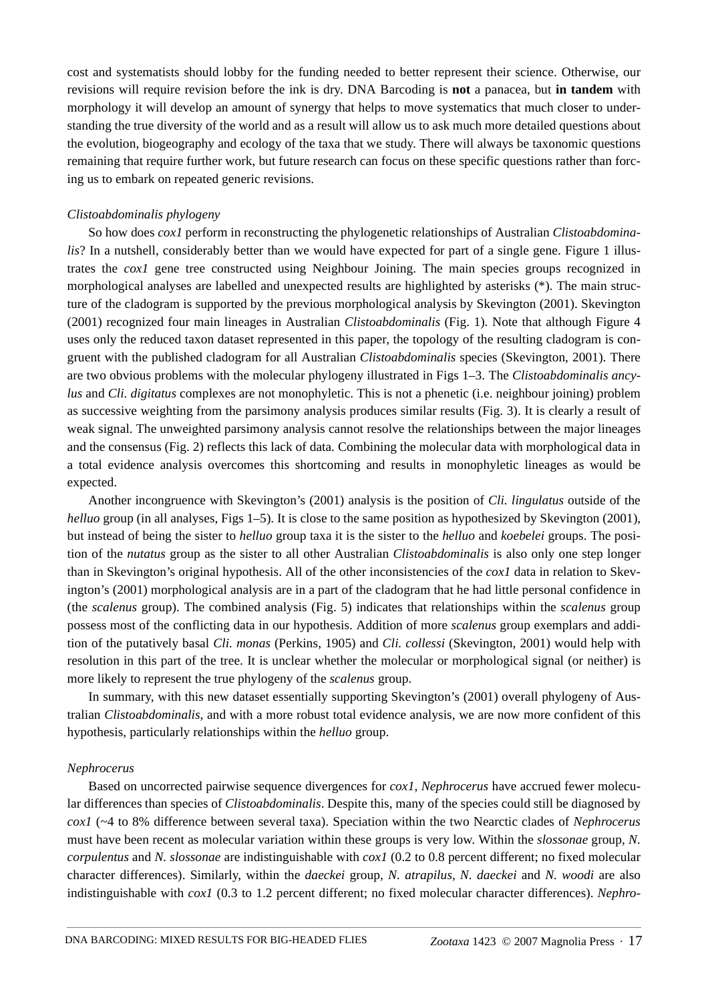cost and systematists should lobby for the funding needed to better represent their science. Otherwise, our revisions will require revision before the ink is dry. DNA Barcoding is **not** a panacea, but **in tandem** with morphology it will develop an amount of synergy that helps to move systematics that much closer to understanding the true diversity of the world and as a result will allow us to ask much more detailed questions about the evolution, biogeography and ecology of the taxa that we study. There will always be taxonomic questions remaining that require further work, but future research can focus on these specific questions rather than forcing us to embark on repeated generic revisions.

#### *Clistoabdominalis phylogeny*

So how does *cox1* perform in reconstructing the phylogenetic relationships of Australian *Clistoabdominalis*? In a nutshell, considerably better than we would have expected for part of a single gene. Figure 1 illustrates the *cox1* gene tree constructed using Neighbour Joining. The main species groups recognized in morphological analyses are labelled and unexpected results are highlighted by asterisks (\*). The main structure of the cladogram is supported by the previous morphological analysis by Skevington (2001). Skevington (2001) recognized four main lineages in Australian *Clistoabdominalis* (Fig. 1). Note that although Figure 4 uses only the reduced taxon dataset represented in this paper, the topology of the resulting cladogram is congruent with the published cladogram for all Australian *Clistoabdominalis* species (Skevington, 2001). There are two obvious problems with the molecular phylogeny illustrated in Figs 1–3. The *Clistoabdominalis ancylus* and *Cli. digitatus* complexes are not monophyletic. This is not a phenetic (i.e. neighbour joining) problem as successive weighting from the parsimony analysis produces similar results (Fig. 3). It is clearly a result of weak signal. The unweighted parsimony analysis cannot resolve the relationships between the major lineages and the consensus (Fig. 2) reflects this lack of data. Combining the molecular data with morphological data in a total evidence analysis overcomes this shortcoming and results in monophyletic lineages as would be expected.

Another incongruence with Skevington's (2001) analysis is the position of *Cli. lingulatus* outside of the *helluo* group (in all analyses, Figs 1–5). It is close to the same position as hypothesized by Skevington (2001), but instead of being the sister to *helluo* group taxa it is the sister to the *helluo* and *koebelei* groups. The position of the *nutatus* group as the sister to all other Australian *Clistoabdominalis* is also only one step longer than in Skevington's original hypothesis. All of the other inconsistencies of the *cox1* data in relation to Skevington's (2001) morphological analysis are in a part of the cladogram that he had little personal confidence in (the *scalenus* group). The combined analysis (Fig. 5) indicates that relationships within the *scalenus* group possess most of the conflicting data in our hypothesis. Addition of more *scalenus* group exemplars and addition of the putatively basal *Cli. monas* (Perkins, 1905) and *Cli. collessi* (Skevington, 2001) would help with resolution in this part of the tree. It is unclear whether the molecular or morphological signal (or neither) is more likely to represent the true phylogeny of the *scalenus* group.

In summary, with this new dataset essentially supporting Skevington's (2001) overall phylogeny of Australian *Clistoabdominalis*, and with a more robust total evidence analysis, we are now more confident of this hypothesis, particularly relationships within the *helluo* group.

#### *Nephrocerus*

Based on uncorrected pairwise sequence divergences for *cox1*, *Nephrocerus* have accrued fewer molecular differences than species of *Clistoabdominalis*. Despite this, many of the species could still be diagnosed by *cox1* (~4 to 8% difference between several taxa). Speciation within the two Nearctic clades of *Nephrocerus* must have been recent as molecular variation within these groups is very low. Within the *slossonae* group, *N. corpulentus* and *N. slossonae* are indistinguishable with *cox1* (0.2 to 0.8 percent different; no fixed molecular character differences). Similarly, within the *daeckei* group, *N. atrapilus*, *N. daeckei* and *N. woodi* are also indistinguishable with *cox1* (0.3 to 1.2 percent different; no fixed molecular character differences). *Nephro-*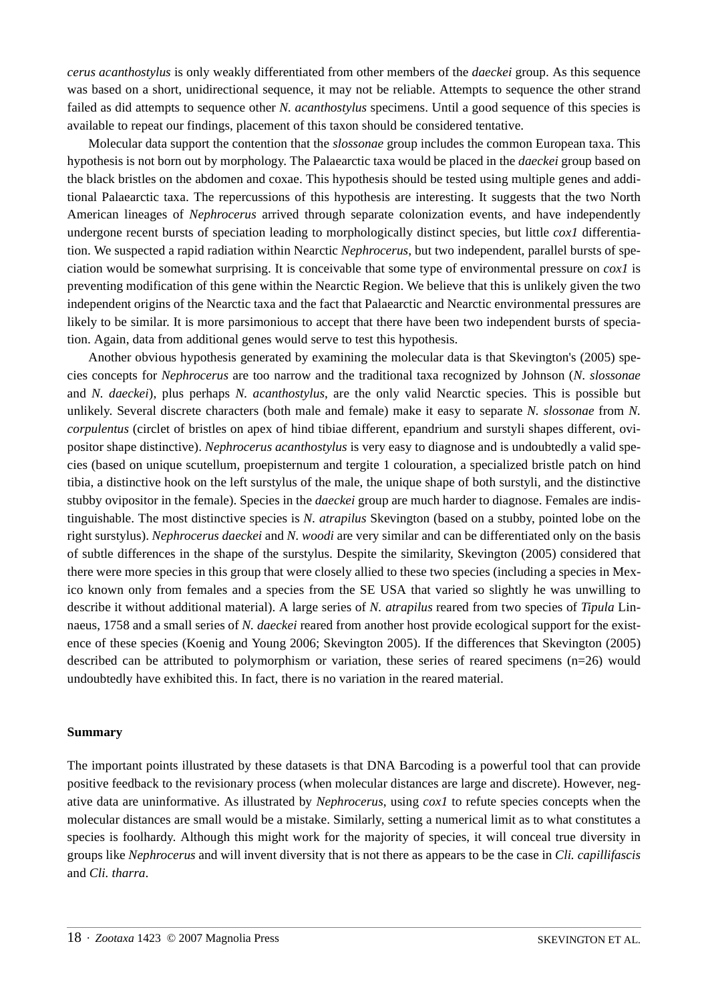*cerus acanthostylus* is only weakly differentiated from other members of the *daeckei* group. As this sequence was based on a short, unidirectional sequence, it may not be reliable. Attempts to sequence the other strand failed as did attempts to sequence other *N. acanthostylus* specimens. Until a good sequence of this species is available to repeat our findings, placement of this taxon should be considered tentative.

Molecular data support the contention that the *slossonae* group includes the common European taxa. This hypothesis is not born out by morphology. The Palaearctic taxa would be placed in the *daeckei* group based on the black bristles on the abdomen and coxae. This hypothesis should be tested using multiple genes and additional Palaearctic taxa. The repercussions of this hypothesis are interesting. It suggests that the two North American lineages of *Nephrocerus* arrived through separate colonization events, and have independently undergone recent bursts of speciation leading to morphologically distinct species, but little *cox1* differentiation. We suspected a rapid radiation within Nearctic *Nephrocerus*, but two independent, parallel bursts of speciation would be somewhat surprising. It is conceivable that some type of environmental pressure on *cox1* is preventing modification of this gene within the Nearctic Region. We believe that this is unlikely given the two independent origins of the Nearctic taxa and the fact that Palaearctic and Nearctic environmental pressures are likely to be similar. It is more parsimonious to accept that there have been two independent bursts of speciation. Again, data from additional genes would serve to test this hypothesis.

Another obvious hypothesis generated by examining the molecular data is that Skevington's (2005) species concepts for *Nephrocerus* are too narrow and the traditional taxa recognized by Johnson (*N. slossonae* and *N. daeckei*), plus perhaps *N. acanthostylus*, are the only valid Nearctic species. This is possible but unlikely. Several discrete characters (both male and female) make it easy to separate *N. slossonae* from *N. corpulentus* (circlet of bristles on apex of hind tibiae different, epandrium and surstyli shapes different, ovipositor shape distinctive). *Nephrocerus acanthostylus* is very easy to diagnose and is undoubtedly a valid species (based on unique scutellum, proepisternum and tergite 1 colouration, a specialized bristle patch on hind tibia, a distinctive hook on the left surstylus of the male, the unique shape of both surstyli, and the distinctive stubby ovipositor in the female). Species in the *daeckei* group are much harder to diagnose. Females are indistinguishable. The most distinctive species is *N. atrapilus* Skevington (based on a stubby, pointed lobe on the right surstylus). *Nephrocerus daeckei* and *N. woodi* are very similar and can be differentiated only on the basis of subtle differences in the shape of the surstylus. Despite the similarity, Skevington (2005) considered that there were more species in this group that were closely allied to these two species (including a species in Mexico known only from females and a species from the SE USA that varied so slightly he was unwilling to describe it without additional material). A large series of *N. atrapilus* reared from two species of *Tipula* Linnaeus, 1758 and a small series of *N. daeckei* reared from another host provide ecological support for the existence of these species (Koenig and Young 2006; Skevington 2005). If the differences that Skevington (2005) described can be attributed to polymorphism or variation, these series of reared specimens (n=26) would undoubtedly have exhibited this. In fact, there is no variation in the reared material.

## **Summary**

The important points illustrated by these datasets is that DNA Barcoding is a powerful tool that can provide positive feedback to the revisionary process (when molecular distances are large and discrete). However, negative data are uninformative. As illustrated by *Nephrocerus*, using *cox1* to refute species concepts when the molecular distances are small would be a mistake. Similarly, setting a numerical limit as to what constitutes a species is foolhardy. Although this might work for the majority of species, it will conceal true diversity in groups like *Nephrocerus* and will invent diversity that is not there as appears to be the case in *Cli. capillifascis* and *Cli. tharra*.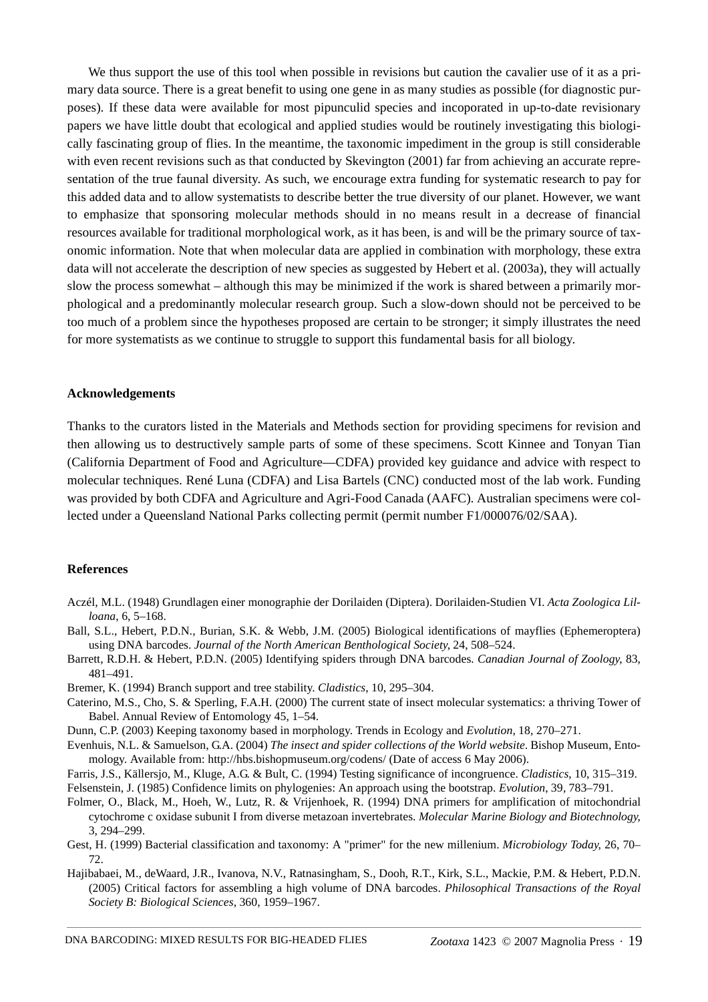We thus support the use of this tool when possible in revisions but caution the cavalier use of it as a primary data source. There is a great benefit to using one gene in as many studies as possible (for diagnostic purposes). If these data were available for most pipunculid species and incoporated in up-to-date revisionary papers we have little doubt that ecological and applied studies would be routinely investigating this biologically fascinating group of flies. In the meantime, the taxonomic impediment in the group is still considerable with even recent revisions such as that conducted by Skevington (2001) far from achieving an accurate representation of the true faunal diversity. As such, we encourage extra funding for systematic research to pay for this added data and to allow systematists to describe better the true diversity of our planet. However, we want to emphasize that sponsoring molecular methods should in no means result in a decrease of financial resources available for traditional morphological work, as it has been, is and will be the primary source of taxonomic information. Note that when molecular data are applied in combination with morphology, these extra data will not accelerate the description of new species as suggested by Hebert et al. (2003a), they will actually slow the process somewhat – although this may be minimized if the work is shared between a primarily morphological and a predominantly molecular research group. Such a slow-down should not be perceived to be too much of a problem since the hypotheses proposed are certain to be stronger; it simply illustrates the need for more systematists as we continue to struggle to support this fundamental basis for all biology.

#### **Acknowledgements**

Thanks to the curators listed in the Materials and Methods section for providing specimens for revision and then allowing us to destructively sample parts of some of these specimens. Scott Kinnee and Tonyan Tian (California Department of Food and Agriculture—CDFA) provided key guidance and advice with respect to molecular techniques. René Luna (CDFA) and Lisa Bartels (CNC) conducted most of the lab work. Funding was provided by both CDFA and Agriculture and Agri-Food Canada (AAFC). Australian specimens were collected under a Queensland National Parks collecting permit (permit number F1/000076/02/SAA).

#### **References**

- Aczél, M.L. (1948) Grundlagen einer monographie der Dorilaiden (Diptera). Dorilaiden-Studien VI. *Acta Zoologica Lilloana*, 6, 5–168.
- Ball, S.L., Hebert, P.D.N., Burian, S.K. & Webb, J.M. (2005) Biological identifications of mayflies (Ephemeroptera) using DNA barcodes. *Journal of the North American Benthological Society*, 24, 508–524.
- Barrett, R.D.H. & Hebert, P.D.N. (2005) Identifying spiders through DNA barcodes. *Canadian Journal of Zoology*, 83, 481–491.
- Bremer, K. (1994) Branch support and tree stability. *Cladistics*, 10, 295–304.
- Caterino, M.S., Cho, S. & Sperling, F.A.H. (2000) The current state of insect molecular systematics: a thriving Tower of Babel. Annual Review of Entomology 45, 1–54.
- Dunn, C.P. (2003) Keeping taxonomy based in morphology. Trends in Ecology and *Evolution*, 18, 270–271.
- Evenhuis, N.L. & Samuelson, G.A. (2004) *The insect and spider collections of the World website*. Bishop Museum, Entomology. Available from: http://hbs.bishopmuseum.org/codens/ (Date of access 6 May 2006).
- Farris, J.S., Källersjo, M., Kluge, A.G. & Bult, C. (1994) Testing significance of incongruence. *Cladistics*, 10, 315–319.
- Felsenstein, J. (1985) Confidence limits on phylogenies: An approach using the bootstrap. *Evolution*, 39, 783–791.
- Folmer, O., Black, M., Hoeh, W., Lutz, R. & Vrijenhoek, R. (1994) DNA primers for amplification of mitochondrial cytochrome c oxidase subunit I from diverse metazoan invertebrates. *Molecular Marine Biology and Biotechnology*, 3, 294–299.
- Gest, H. (1999) Bacterial classification and taxonomy: A "primer" for the new millenium. *Microbiology Today*, 26, 70– 72.
- Hajibabaei, M., deWaard, J.R., Ivanova, N.V., Ratnasingham, S., Dooh, R.T., Kirk, S.L., Mackie, P.M. & Hebert, P.D.N. (2005) Critical factors for assembling a high volume of DNA barcodes. *Philosophical Transactions of the Royal Society B: Biological Sciences*, 360, 1959–1967.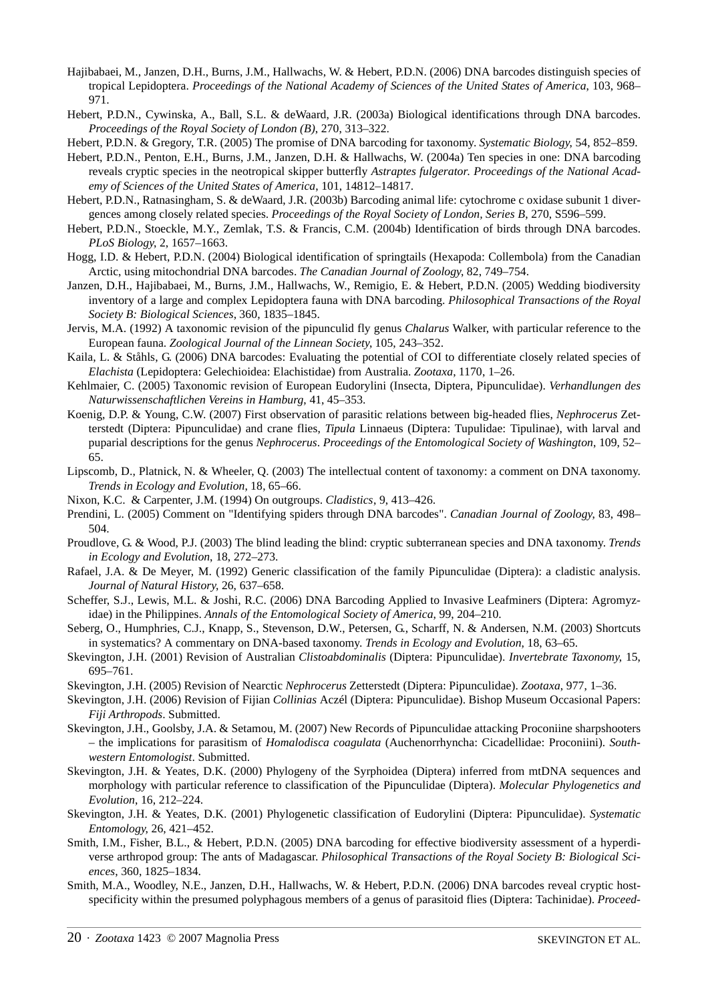- Hajibabaei, M., Janzen, D.H., Burns, J.M., Hallwachs, W. & Hebert, P.D.N. (2006) DNA barcodes distinguish species of tropical Lepidoptera. *Proceedings of the National Academy of Sciences of the United States of America*, 103, 968– 971.
- Hebert, P.D.N., Cywinska, A., Ball, S.L. & deWaard, J.R. (2003a) Biological identifications through DNA barcodes. *Proceedings of the Royal Society of London (B)*, 270, 313–322.

Hebert, P.D.N. & Gregory, T.R. (2005) The promise of DNA barcoding for taxonomy. *Systematic Biology*, 54, 852–859.

- Hebert, P.D.N., Penton, E.H., Burns, J.M., Janzen, D.H. & Hallwachs, W. (2004a) Ten species in one: DNA barcoding reveals cryptic species in the neotropical skipper butterfly *Astraptes fulgerator*. *Proceedings of the National Academy of Sciences of the United States of America*, 101, 14812–14817.
- Hebert, P.D.N., Ratnasingham, S. & deWaard, J.R. (2003b) Barcoding animal life: cytochrome c oxidase subunit 1 divergences among closely related species. *Proceedings of the Royal Society of London, Series B*, 270, S596–599.
- Hebert, P.D.N., Stoeckle, M.Y., Zemlak, T.S. & Francis, C.M. (2004b) Identification of birds through DNA barcodes. *PLoS Biology*, 2, 1657–1663.
- Hogg, I.D. & Hebert, P.D.N. (2004) Biological identification of springtails (Hexapoda: Collembola) from the Canadian Arctic, using mitochondrial DNA barcodes. *The Canadian Journal of Zoology*, 82, 749–754.
- Janzen, D.H., Hajibabaei, M., Burns, J.M., Hallwachs, W., Remigio, E. & Hebert, P.D.N. (2005) Wedding biodiversity inventory of a large and complex Lepidoptera fauna with DNA barcoding. *Philosophical Transactions of the Royal Society B: Biological Sciences*, 360, 1835–1845.
- Jervis, M.A. (1992) A taxonomic revision of the pipunculid fly genus *Chalarus* Walker, with particular reference to the European fauna. *Zoological Journal of the Linnean Society*, 105, 243–352.
- Kaila, L. & Ståhls, G. (2006) DNA barcodes: Evaluating the potential of COI to differentiate closely related species of *Elachista* (Lepidoptera: Gelechioidea: Elachistidae) from Australia. *Zootaxa*, 1170, 1–26.
- Kehlmaier, C. (2005) Taxonomic revision of European Eudorylini (Insecta, Diptera, Pipunculidae). *Verhandlungen des Naturwissenschaftlichen Vereins in Hamburg*, 41, 45–353.
- Koenig, D.P. & Young, C.W. (2007) First observation of parasitic relations between big-headed flies, *Nephrocerus* Zetterstedt (Diptera: Pipunculidae) and crane flies, *Tipula* Linnaeus (Diptera: Tupulidae: Tipulinae), with larval and puparial descriptions for the genus *Nephrocerus*. *Proceedings of the Entomological Society of Washington*, 109, 52– 65.
- Lipscomb, D., Platnick, N. & Wheeler, Q. (2003) The intellectual content of taxonomy: a comment on DNA taxonomy. *Trends in Ecology and Evolution*, 18, 65–66.
- Nixon, K.C. & Carpenter, J.M. (1994) On outgroups. *Cladistics*, 9, 413–426.
- Prendini, L. (2005) Comment on "Identifying spiders through DNA barcodes". *Canadian Journal of Zoology*, 83, 498– 504.
- Proudlove, G. & Wood, P.J. (2003) The blind leading the blind: cryptic subterranean species and DNA taxonomy. *Trends in Ecology and Evolution*, 18, 272–273.
- Rafael, J.A. & De Meyer, M. (1992) Generic classification of the family Pipunculidae (Diptera): a cladistic analysis. *Journal of Natural History*, 26, 637–658.
- Scheffer, S.J., Lewis, M.L. & Joshi, R.C. (2006) DNA Barcoding Applied to Invasive Leafminers (Diptera: Agromyzidae) in the Philippines. *Annals of the Entomological Society of America*, 99, 204–210.
- Seberg, O., Humphries, C.J., Knapp, S., Stevenson, D.W., Petersen, G., Scharff, N. & Andersen, N.M. (2003) Shortcuts in systematics? A commentary on DNA-based taxonomy. *Trends in Ecology and Evolution*, 18, 63–65.
- Skevington, J.H. (2001) Revision of Australian *Clistoabdominalis* (Diptera: Pipunculidae). *Invertebrate Taxonomy*, 15, 695–761.
- Skevington, J.H. (2005) Revision of Nearctic *Nephrocerus* Zetterstedt (Diptera: Pipunculidae). *Zootaxa*, 977, 1–36.
- Skevington, J.H. (2006) Revision of Fijian *Collinias* Aczél (Diptera: Pipunculidae). Bishop Museum Occasional Papers: *Fiji Arthropods*. Submitted.
- Skevington, J.H., Goolsby, J.A. & Setamou, M. (2007) New Records of Pipunculidae attacking Proconiine sharpshooters – the implications for parasitism of *Homalodisca coagulata* (Auchenorrhyncha: Cicadellidae: Proconiini). *Southwestern Entomologist*. Submitted.
- Skevington, J.H. & Yeates, D.K. (2000) Phylogeny of the Syrphoidea (Diptera) inferred from mtDNA sequences and morphology with particular reference to classification of the Pipunculidae (Diptera). *Molecular Phylogenetics and Evolution*, 16, 212–224.
- Skevington, J.H. & Yeates, D.K. (2001) Phylogenetic classification of Eudorylini (Diptera: Pipunculidae). *Systematic Entomology*, 26, 421–452.
- Smith, I.M., Fisher, B.L., & Hebert, P.D.N. (2005) DNA barcoding for effective biodiversity assessment of a hyperdiverse arthropod group: The ants of Madagascar. *Philosophical Transactions of the Royal Society B: Biological Sciences*, 360, 1825–1834.
- Smith, M.A., Woodley, N.E., Janzen, D.H., Hallwachs, W. & Hebert, P.D.N. (2006) DNA barcodes reveal cryptic hostspecificity within the presumed polyphagous members of a genus of parasitoid flies (Diptera: Tachinidae). *Proceed-*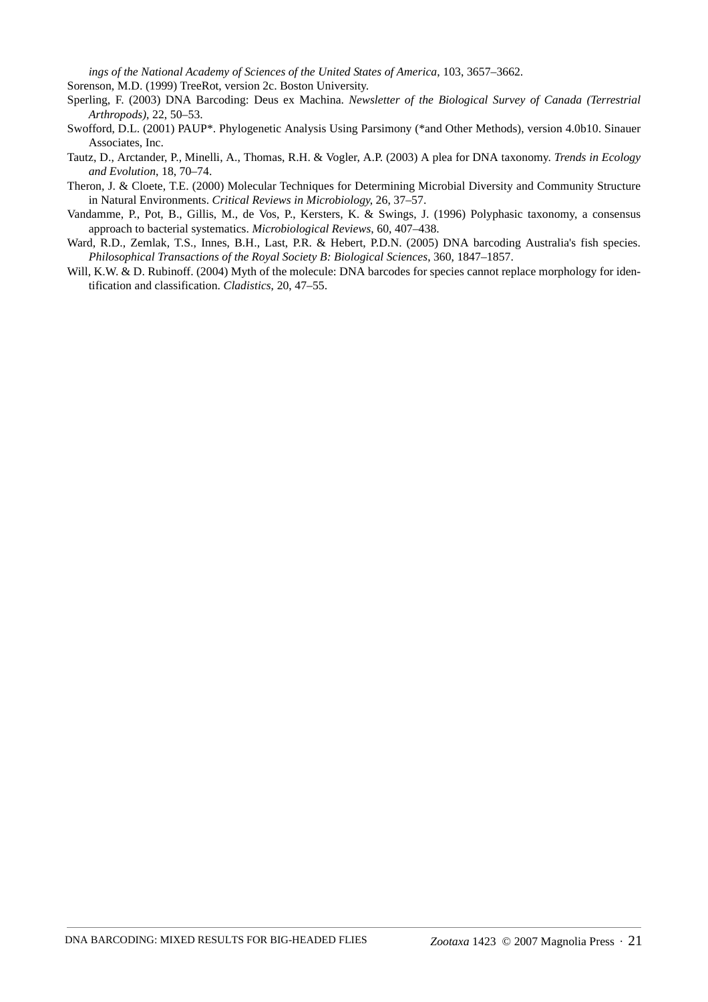*ings of the National Academy of Sciences of the United States of America*, 103, 3657–3662.

Sorenson, M.D. (1999) TreeRot, version 2c. Boston University.

- Sperling, F. (2003) DNA Barcoding: Deus ex Machina. *Newsletter of the Biological Survey of Canada (Terrestrial Arthropods)*, 22, 50–53.
- Swofford, D.L. (2001) PAUP\*. Phylogenetic Analysis Using Parsimony (\*and Other Methods), version 4.0b10. Sinauer Associates, Inc.
- Tautz, D., Arctander, P., Minelli, A., Thomas, R.H. & Vogler, A.P. (2003) A plea for DNA taxonomy. *Trends in Ecology and Evolution*, 18, 70–74.
- Theron, J. & Cloete, T.E. (2000) Molecular Techniques for Determining Microbial Diversity and Community Structure in Natural Environments. *Critical Reviews in Microbiology*, 26, 37–57.
- Vandamme, P., Pot, B., Gillis, M., de Vos, P., Kersters, K. & Swings, J. (1996) Polyphasic taxonomy, a consensus approach to bacterial systematics. *Microbiological Reviews*, 60, 407–438.
- Ward, R.D., Zemlak, T.S., Innes, B.H., Last, P.R. & Hebert, P.D.N. (2005) DNA barcoding Australia's fish species. *Philosophical Transactions of the Royal Society B: Biological Sciences*, 360, 1847–1857.
- Will, K.W. & D. Rubinoff. (2004) Myth of the molecule: DNA barcodes for species cannot replace morphology for identification and classification. *Cladistics*, 20, 47–55.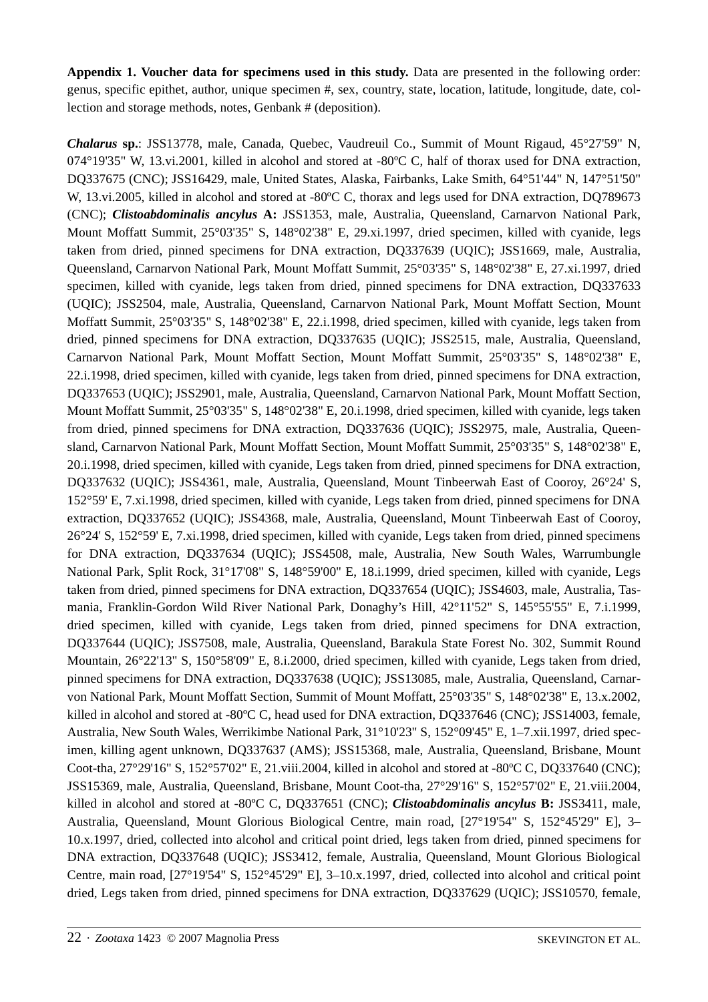**Appendix 1. Voucher data for specimens used in this study.** Data are presented in the following order: genus, specific epithet, author, unique specimen #, sex, country, state, location, latitude, longitude, date, collection and storage methods, notes, Genbank # (deposition).

*Chalarus* **sp.**: JSS13778, male, Canada, Quebec, Vaudreuil Co., Summit of Mount Rigaud, 45°27'59" N, 074°19'35" W, 13.vi.2001, killed in alcohol and stored at -80ºC C, half of thorax used for DNA extraction, DQ337675 (CNC); JSS16429, male, United States, Alaska, Fairbanks, Lake Smith, 64°51'44" N, 147°51'50" W, 13.vi.2005, killed in alcohol and stored at -80ºC C, thorax and legs used for DNA extraction, DQ789673 (CNC); *Clistoabdominalis ancylus* **A:** JSS1353, male, Australia, Queensland, Carnarvon National Park, Mount Moffatt Summit, 25°03'35" S, 148°02'38" E, 29.xi.1997, dried specimen, killed with cyanide, legs taken from dried, pinned specimens for DNA extraction, DQ337639 (UQIC); JSS1669, male, Australia, Queensland, Carnarvon National Park, Mount Moffatt Summit, 25°03'35" S, 148°02'38" E, 27.xi.1997, dried specimen, killed with cyanide, legs taken from dried, pinned specimens for DNA extraction, DQ337633 (UQIC); JSS2504, male, Australia, Queensland, Carnarvon National Park, Mount Moffatt Section, Mount Moffatt Summit, 25°03'35" S, 148°02'38" E, 22.i.1998, dried specimen, killed with cyanide, legs taken from dried, pinned specimens for DNA extraction, DQ337635 (UQIC); JSS2515, male, Australia, Queensland, Carnarvon National Park, Mount Moffatt Section, Mount Moffatt Summit, 25°03'35" S, 148°02'38" E, 22.i.1998, dried specimen, killed with cyanide, legs taken from dried, pinned specimens for DNA extraction, DQ337653 (UQIC); JSS2901, male, Australia, Queensland, Carnarvon National Park, Mount Moffatt Section, Mount Moffatt Summit, 25°03'35" S, 148°02'38" E, 20.i.1998, dried specimen, killed with cyanide, legs taken from dried, pinned specimens for DNA extraction, DQ337636 (UQIC); JSS2975, male, Australia, Queensland, Carnarvon National Park, Mount Moffatt Section, Mount Moffatt Summit, 25°03'35" S, 148°02'38" E, 20.i.1998, dried specimen, killed with cyanide, Legs taken from dried, pinned specimens for DNA extraction, DQ337632 (UQIC); JSS4361, male, Australia, Queensland, Mount Tinbeerwah East of Cooroy, 26°24' S, 152°59' E, 7.xi.1998, dried specimen, killed with cyanide, Legs taken from dried, pinned specimens for DNA extraction, DQ337652 (UQIC); JSS4368, male, Australia, Queensland, Mount Tinbeerwah East of Cooroy, 26°24' S, 152°59' E, 7.xi.1998, dried specimen, killed with cyanide, Legs taken from dried, pinned specimens for DNA extraction, DQ337634 (UQIC); JSS4508, male, Australia, New South Wales, Warrumbungle National Park, Split Rock, 31°17'08" S, 148°59'00" E, 18.i.1999, dried specimen, killed with cyanide, Legs taken from dried, pinned specimens for DNA extraction, DQ337654 (UQIC); JSS4603, male, Australia, Tasmania, Franklin-Gordon Wild River National Park, Donaghy's Hill, 42°11'52" S, 145°55'55" E, 7.i.1999, dried specimen, killed with cyanide, Legs taken from dried, pinned specimens for DNA extraction, DQ337644 (UQIC); JSS7508, male, Australia, Queensland, Barakula State Forest No. 302, Summit Round Mountain, 26°22'13" S, 150°58'09" E, 8.i.2000, dried specimen, killed with cyanide, Legs taken from dried, pinned specimens for DNA extraction, DQ337638 (UQIC); JSS13085, male, Australia, Queensland, Carnarvon National Park, Mount Moffatt Section, Summit of Mount Moffatt, 25°03'35" S, 148°02'38" E, 13.x.2002, killed in alcohol and stored at -80°C C, head used for DNA extraction, DQ337646 (CNC); JSS14003, female, Australia, New South Wales, Werrikimbe National Park, 31°10'23" S, 152°09'45" E, 1–7.xii.1997, dried specimen, killing agent unknown, DQ337637 (AMS); JSS15368, male, Australia, Queensland, Brisbane, Mount Coot-tha, 27°29'16" S, 152°57'02" E, 21.viii.2004, killed in alcohol and stored at -80ºC C, DQ337640 (CNC); JSS15369, male, Australia, Queensland, Brisbane, Mount Coot-tha, 27°29'16" S, 152°57'02" E, 21.viii.2004, killed in alcohol and stored at -80ºC C, DQ337651 (CNC); *Clistoabdominalis ancylus* **B:** JSS3411, male, Australia, Queensland, Mount Glorious Biological Centre, main road, [27°19'54" S, 152°45'29" E], 3– 10.x.1997, dried, collected into alcohol and critical point dried, legs taken from dried, pinned specimens for DNA extraction, DQ337648 (UQIC); JSS3412, female, Australia, Queensland, Mount Glorious Biological Centre, main road, [27°19'54" S*,* 152°45'29" E], 3–10.x.1997, dried, collected into alcohol and critical point dried, Legs taken from dried, pinned specimens for DNA extraction, DQ337629 (UQIC); JSS10570, female,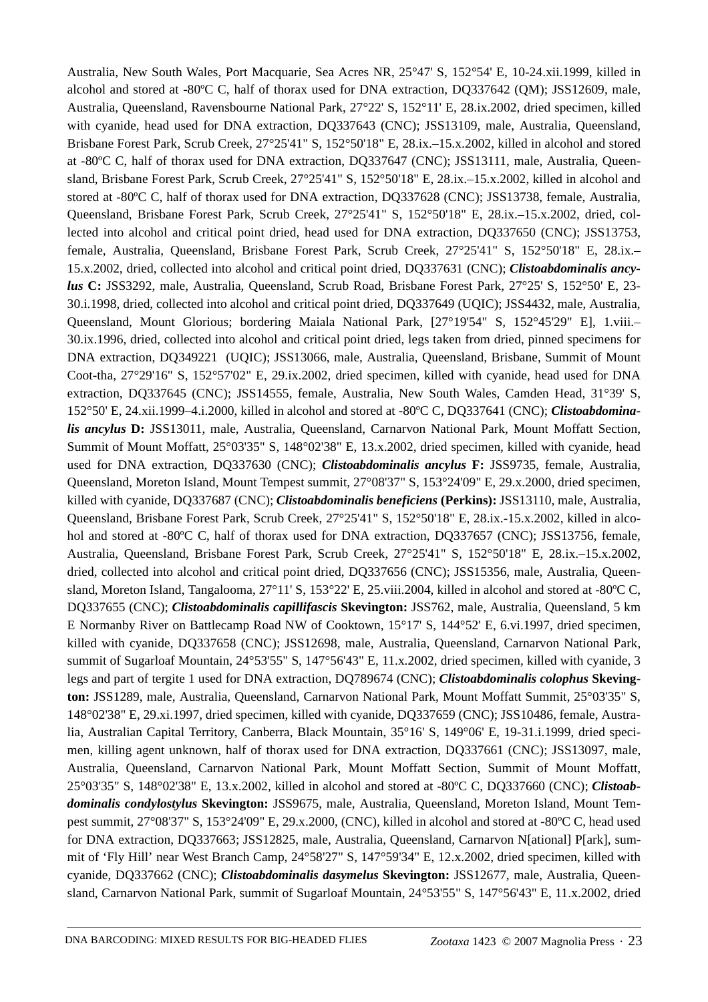Australia, New South Wales, Port Macquarie, Sea Acres NR, 25°47' S, 152°54' E, 10-24.xii.1999, killed in alcohol and stored at -80ºC C, half of thorax used for DNA extraction, DQ337642 (QM); JSS12609, male, Australia, Queensland, Ravensbourne National Park, 27°22' S, 152°11' E, 28.ix.2002, dried specimen, killed with cyanide, head used for DNA extraction, DQ337643 (CNC); JSS13109, male, Australia, Queensland, Brisbane Forest Park, Scrub Creek, 27°25'41" S, 152°50'18" E, 28.ix.–15.x.2002, killed in alcohol and stored at -80ºC C, half of thorax used for DNA extraction, DQ337647 (CNC); JSS13111, male, Australia, Queensland, Brisbane Forest Park, Scrub Creek, 27°25'41" S, 152°50'18" E, 28.ix.–15.x.2002, killed in alcohol and stored at -80ºC C, half of thorax used for DNA extraction, DQ337628 (CNC); JSS13738, female, Australia, Queensland, Brisbane Forest Park, Scrub Creek, 27°25'41" S, 152°50'18" E, 28.ix.–15.x.2002, dried, collected into alcohol and critical point dried, head used for DNA extraction, DQ337650 (CNC); JSS13753, female, Australia, Queensland, Brisbane Forest Park, Scrub Creek, 27°25'41" S, 152°50'18" E, 28.ix.– 15.x.2002, dried, collected into alcohol and critical point dried, DQ337631 (CNC); *Clistoabdominalis ancylus* **C:** JSS3292, male, Australia, Queensland, Scrub Road, Brisbane Forest Park, 27°25' S, 152°50' E, 23- 30.i.1998, dried, collected into alcohol and critical point dried, DQ337649 (UQIC); JSS4432, male, Australia, Queensland, Mount Glorious; bordering Maiala National Park, [27°19'54" S*,* 152°45'29" E], 1.viii.– 30.ix.1996, dried, collected into alcohol and critical point dried, legs taken from dried, pinned specimens for DNA extraction, DQ349221 (UQIC); JSS13066, male, Australia, Queensland, Brisbane, Summit of Mount Coot-tha, 27°29'16" S, 152°57'02" E, 29.ix.2002, dried specimen, killed with cyanide, head used for DNA extraction, DQ337645 (CNC); JSS14555, female, Australia, New South Wales, Camden Head, 31°39' S, 152°50' E, 24.xii.1999–4.i.2000, killed in alcohol and stored at -80ºC C, DQ337641 (CNC); *Clistoabdominalis ancylus* **D:** JSS13011, male, Australia, Queensland, Carnarvon National Park, Mount Moffatt Section, Summit of Mount Moffatt, 25°03'35" S, 148°02'38" E, 13.x.2002, dried specimen, killed with cyanide, head used for DNA extraction, DQ337630 (CNC); *Clistoabdominalis ancylus* **F:** JSS9735, female, Australia, Queensland, Moreton Island, Mount Tempest summit, 27°08'37" S, 153°24'09" E, 29.x.2000, dried specimen, killed with cyanide, DQ337687 (CNC); *Clistoabdominalis beneficiens* **(Perkins):** JSS13110, male, Australia, Queensland, Brisbane Forest Park, Scrub Creek, 27°25'41" S, 152°50'18" E, 28.ix.-15.x.2002, killed in alcohol and stored at -80°C C, half of thorax used for DNA extraction, DQ337657 (CNC); JSS13756, female, Australia, Queensland, Brisbane Forest Park, Scrub Creek, 27°25'41" S, 152°50'18" E, 28.ix.–15.x.2002, dried, collected into alcohol and critical point dried, DQ337656 (CNC); JSS15356, male, Australia, Queensland, Moreton Island, Tangalooma, 27°11' S, 153°22' E, 25.viii.2004, killed in alcohol and stored at -80ºC C, DQ337655 (CNC); *Clistoabdominalis capillifascis* **Skevington:** JSS762, male, Australia, Queensland, 5 km E Normanby River on Battlecamp Road NW of Cooktown, 15°17' S, 144°52' E, 6.vi.1997, dried specimen, killed with cyanide, DQ337658 (CNC); JSS12698, male, Australia, Queensland, Carnarvon National Park, summit of Sugarloaf Mountain, 24°53'55" S, 147°56'43" E, 11.x.2002, dried specimen, killed with cyanide, 3 legs and part of tergite 1 used for DNA extraction, DQ789674 (CNC); *Clistoabdominalis colophus* **Skevington:** JSS1289, male, Australia, Queensland, Carnarvon National Park, Mount Moffatt Summit, 25°03'35" S, 148°02'38" E, 29.xi.1997, dried specimen, killed with cyanide, DQ337659 (CNC); JSS10486, female, Australia, Australian Capital Territory, Canberra, Black Mountain, 35°16' S, 149°06' E, 19-31.i.1999, dried specimen, killing agent unknown, half of thorax used for DNA extraction, DQ337661 (CNC); JSS13097, male, Australia, Queensland, Carnarvon National Park, Mount Moffatt Section, Summit of Mount Moffatt, 25°03'35" S, 148°02'38" E, 13.x.2002, killed in alcohol and stored at -80ºC C, DQ337660 (CNC); *Clistoabdominalis condylostylus* **Skevington:** JSS9675, male, Australia, Queensland, Moreton Island, Mount Tempest summit, 27°08'37" S, 153°24'09" E, 29.x.2000, (CNC), killed in alcohol and stored at -80ºC C, head used for DNA extraction, DQ337663; JSS12825, male, Australia, Queensland, Carnarvon N[ational] P[ark], summit of 'Fly Hill' near West Branch Camp, 24°58'27" S, 147°59'34" E, 12.x.2002, dried specimen, killed with cyanide, DQ337662 (CNC); *Clistoabdominalis dasymelus* **Skevington:** JSS12677, male, Australia, Queensland, Carnarvon National Park, summit of Sugarloaf Mountain, 24°53'55" S, 147°56'43" E, 11.x.2002, dried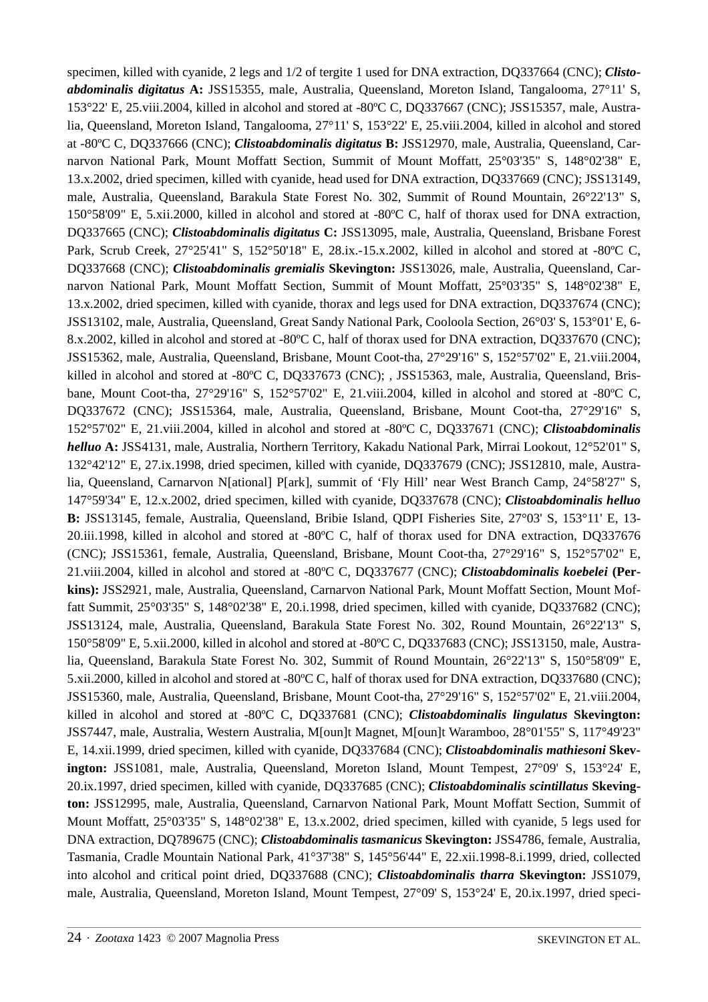specimen, killed with cyanide, 2 legs and 1/2 of tergite 1 used for DNA extraction, DQ337664 (CNC); *Clistoabdominalis digitatus* **A:** JSS15355, male, Australia, Queensland, Moreton Island, Tangalooma, 27°11' S, 153°22' E, 25.viii.2004, killed in alcohol and stored at -80ºC C, DQ337667 (CNC); JSS15357, male, Australia, Queensland, Moreton Island, Tangalooma, 27°11' S, 153°22' E, 25.viii.2004, killed in alcohol and stored at -80ºC C, DQ337666 (CNC); *Clistoabdominalis digitatus* **B:** JSS12970, male, Australia, Queensland, Carnarvon National Park, Mount Moffatt Section, Summit of Mount Moffatt, 25°03'35" S, 148°02'38" E, 13.x.2002, dried specimen, killed with cyanide, head used for DNA extraction, DQ337669 (CNC); JSS13149, male, Australia, Queensland, Barakula State Forest No. 302, Summit of Round Mountain, 26°22'13" S, 150°58'09" E, 5.xii.2000, killed in alcohol and stored at -80ºC C, half of thorax used for DNA extraction, DQ337665 (CNC); *Clistoabdominalis digitatus* **C:** JSS13095, male, Australia, Queensland, Brisbane Forest Park, Scrub Creek, 27°25'41" S, 152°50'18" E, 28.ix.-15.x.2002, killed in alcohol and stored at -80ºC C, DQ337668 (CNC); *Clistoabdominalis gremialis* **Skevington:** JSS13026, male, Australia, Queensland, Carnarvon National Park, Mount Moffatt Section, Summit of Mount Moffatt, 25°03'35" S, 148°02'38" E, 13.x.2002, dried specimen, killed with cyanide, thorax and legs used for DNA extraction, DQ337674 (CNC); JSS13102, male, Australia, Queensland, Great Sandy National Park, Cooloola Section, 26°03' S, 153°01' E, 6- 8.x.2002, killed in alcohol and stored at -80ºC C, half of thorax used for DNA extraction, DQ337670 (CNC); JSS15362, male, Australia, Queensland, Brisbane, Mount Coot-tha, 27°29'16" S, 152°57'02" E, 21.viii.2004, killed in alcohol and stored at -80°C C, DQ337673 (CNC); , JSS15363, male, Australia, Queensland, Brisbane, Mount Coot-tha, 27°29'16" S, 152°57'02" E, 21.viii.2004, killed in alcohol and stored at -80ºC C, DQ337672 (CNC); JSS15364, male, Australia, Queensland, Brisbane, Mount Coot-tha, 27°29'16" S, 152°57'02" E, 21.viii.2004, killed in alcohol and stored at -80ºC C, DQ337671 (CNC); *Clistoabdominalis helluo* **A:** JSS4131, male, Australia, Northern Territory, Kakadu National Park, Mirrai Lookout, 12°52'01" S, 132°42'12" E, 27.ix.1998, dried specimen, killed with cyanide, DQ337679 (CNC); JSS12810, male, Australia, Queensland, Carnarvon N[ational] P[ark], summit of 'Fly Hill' near West Branch Camp, 24°58'27" S, 147°59'34" E, 12.x.2002, dried specimen, killed with cyanide, DQ337678 (CNC); *Clistoabdominalis helluo* **B:** JSS13145, female, Australia, Queensland, Bribie Island, QDPI Fisheries Site, 27°03' S, 153°11' E, 13- 20.iii.1998, killed in alcohol and stored at -80ºC C, half of thorax used for DNA extraction, DQ337676 (CNC); JSS15361, female, Australia, Queensland, Brisbane, Mount Coot-tha, 27°29'16" S, 152°57'02" E, 21.viii.2004, killed in alcohol and stored at -80ºC C, DQ337677 (CNC); *Clistoabdominalis koebelei* **(Perkins):** JSS2921, male, Australia, Queensland, Carnarvon National Park, Mount Moffatt Section, Mount Moffatt Summit, 25°03'35" S, 148°02'38" E, 20.i.1998, dried specimen, killed with cyanide, DQ337682 (CNC); JSS13124, male, Australia, Queensland, Barakula State Forest No. 302, Round Mountain, 26°22'13" S, 150°58'09" E, 5.xii.2000, killed in alcohol and stored at -80ºC C, DQ337683 (CNC); JSS13150, male, Australia, Queensland, Barakula State Forest No. 302, Summit of Round Mountain, 26°22'13" S, 150°58'09" E, 5.xii.2000, killed in alcohol and stored at -80ºC C, half of thorax used for DNA extraction, DQ337680 (CNC); JSS15360, male, Australia, Queensland, Brisbane, Mount Coot-tha, 27°29'16" S, 152°57'02" E, 21.viii.2004, killed in alcohol and stored at -80ºC C, DQ337681 (CNC); *Clistoabdominalis lingulatus* **Skevington:** JSS7447, male, Australia, Western Australia, M[oun]t Magnet, M[oun]t Waramboo, 28°01'55" S, 117°49'23" E, 14.xii.1999, dried specimen, killed with cyanide, DQ337684 (CNC); *Clistoabdominalis mathiesoni* **Skevington:** JSS1081, male, Australia, Queensland, Moreton Island, Mount Tempest, 27°09' S, 153°24' E, 20.ix.1997, dried specimen, killed with cyanide, DQ337685 (CNC); *Clistoabdominalis scintillatus* **Skevington:** JSS12995, male, Australia, Queensland, Carnarvon National Park, Mount Moffatt Section, Summit of Mount Moffatt, 25°03'35" S, 148°02'38" E, 13.x.2002, dried specimen, killed with cyanide, 5 legs used for DNA extraction, DQ789675 (CNC); *Clistoabdominalis tasmanicus* **Skevington:** JSS4786, female, Australia, Tasmania, Cradle Mountain National Park, 41°37'38" S, 145°56'44" E, 22.xii.1998-8.i.1999, dried, collected into alcohol and critical point dried, DQ337688 (CNC); *Clistoabdominalis tharra* **Skevington:** JSS1079, male, Australia, Queensland, Moreton Island, Mount Tempest, 27°09' S, 153°24' E, 20.ix.1997, dried speci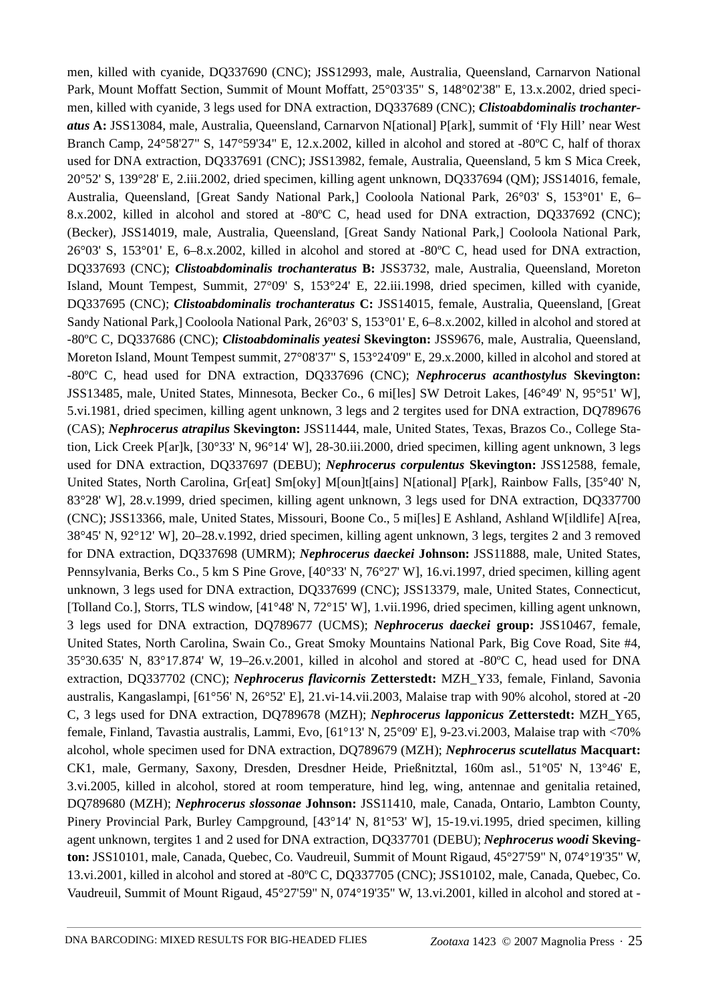men, killed with cyanide, DQ337690 (CNC); JSS12993, male, Australia, Queensland, Carnarvon National Park, Mount Moffatt Section, Summit of Mount Moffatt, 25°03'35" S, 148°02'38" E, 13.x.2002, dried specimen, killed with cyanide, 3 legs used for DNA extraction, DQ337689 (CNC); *Clistoabdominalis trochanteratus* **A:** JSS13084, male, Australia, Queensland, Carnarvon N[ational] P[ark], summit of 'Fly Hill' near West Branch Camp, 24°58'27" S, 147°59'34" E, 12.x.2002, killed in alcohol and stored at -80ºC C, half of thorax used for DNA extraction, DQ337691 (CNC); JSS13982, female, Australia, Queensland, 5 km S Mica Creek, 20°52' S, 139°28' E, 2.iii.2002, dried specimen, killing agent unknown, DQ337694 (QM); JSS14016, female, Australia, Queensland, [Great Sandy National Park,] Cooloola National Park, 26°03' S, 153°01' E, 6– 8.x.2002, killed in alcohol and stored at -80ºC C, head used for DNA extraction, DQ337692 (CNC); (Becker), JSS14019, male, Australia, Queensland, [Great Sandy National Park,] Cooloola National Park, 26°03' S, 153°01' E, 6–8.x.2002, killed in alcohol and stored at -80ºC C, head used for DNA extraction, DQ337693 (CNC); *Clistoabdominalis trochanteratus* **B:** JSS3732, male, Australia, Queensland, Moreton Island, Mount Tempest, Summit, 27°09' S, 153°24' E, 22.iii.1998, dried specimen, killed with cyanide, DQ337695 (CNC); *Clistoabdominalis trochanteratus* **C:** JSS14015, female, Australia, Queensland, [Great Sandy National Park,] Cooloola National Park, 26°03' S, 153°01' E, 6–8.x.2002, killed in alcohol and stored at -80ºC C, DQ337686 (CNC); *Clistoabdominalis yeatesi* **Skevington:** JSS9676, male, Australia, Queensland, Moreton Island, Mount Tempest summit, 27°08'37" S, 153°24'09" E, 29.x.2000, killed in alcohol and stored at -80ºC C, head used for DNA extraction, DQ337696 (CNC); *Nephrocerus acanthostylus* **Skevington:** JSS13485, male, United States, Minnesota, Becker Co., 6 mi[les] SW Detroit Lakes, [46°49' N*,* 95°51' W], 5.vi.1981, dried specimen, killing agent unknown, 3 legs and 2 tergites used for DNA extraction, DQ789676 (CAS); *Nephrocerus atrapilus* **Skevington:** JSS11444, male, United States, Texas, Brazos Co., College Station, Lick Creek P[ar]k, [30°33' N*,* 96°14' W], 28-30.iii.2000, dried specimen, killing agent unknown, 3 legs used for DNA extraction, DQ337697 (DEBU); *Nephrocerus corpulentus* **Skevington:** JSS12588, female, United States, North Carolina, Gr[eat] Sm[oky] M[oun]t[ains] N[ational] P[ark], Rainbow Falls, [35°40' N*,* 83°28' W], 28.v.1999, dried specimen, killing agent unknown, 3 legs used for DNA extraction, DQ337700 (CNC); JSS13366, male, United States, Missouri, Boone Co., 5 mi[les] E Ashland, Ashland W[ildlife] A[rea*,* 38°45' N*,* 92°12' W], 20–28.v.1992, dried specimen, killing agent unknown, 3 legs, tergites 2 and 3 removed for DNA extraction, DQ337698 (UMRM); *Nephrocerus daeckei* **Johnson:** JSS11888, male, United States, Pennsylvania, Berks Co., 5 km S Pine Grove, [40°33' N*,* 76°27' W], 16.vi.1997, dried specimen, killing agent unknown, 3 legs used for DNA extraction, DQ337699 (CNC); JSS13379, male, United States, Connecticut, [Tolland Co.], Storrs, TLS window, [41°48' N*,* 72°15' W], 1.vii.1996, dried specimen, killing agent unknown, 3 legs used for DNA extraction, DQ789677 (UCMS); *Nephrocerus daeckei* **group:** JSS10467, female, United States, North Carolina, Swain Co., Great Smoky Mountains National Park, Big Cove Road, Site #4, 35°30.635' N, 83°17.874' W, 19–26.v.2001, killed in alcohol and stored at -80ºC C, head used for DNA extraction, DQ337702 (CNC); *Nephrocerus flavicornis* **Zetterstedt:** MZH\_Y33, female, Finland, Savonia australis, Kangaslampi, [61°56' N*,* 26°52' E], 21.vi-14.vii.2003, Malaise trap with 90% alcohol, stored at -20 C, 3 legs used for DNA extraction, DQ789678 (MZH); *Nephrocerus lapponicus* **Zetterstedt:** MZH\_Y65, female, Finland, Tavastia australis, Lammi, Evo, [61°13' N*,* 25°09' E], 9-23.vi.2003, Malaise trap with <70% alcohol, whole specimen used for DNA extraction, DQ789679 (MZH); *Nephrocerus scutellatus* **Macquart:** CK1, male, Germany, Saxony, Dresden, Dresdner Heide, Prießnitztal, 160m asl., 51°05' N, 13°46' E, 3.vi.2005, killed in alcohol, stored at room temperature, hind leg, wing, antennae and genitalia retained, DQ789680 (MZH); *Nephrocerus slossonae* **Johnson:** JSS11410, male, Canada, Ontario, Lambton County, Pinery Provincial Park, Burley Campground, [43°14' N*,* 81°53' W], 15-19.vi.1995, dried specimen, killing agent unknown, tergites 1 and 2 used for DNA extraction, DQ337701 (DEBU); *Nephrocerus woodi* **Skevington:** JSS10101, male, Canada, Quebec, Co. Vaudreuil, Summit of Mount Rigaud, 45°27'59" N, 074°19'35" W, 13.vi.2001, killed in alcohol and stored at -80ºC C, DQ337705 (CNC); JSS10102, male, Canada, Quebec, Co. Vaudreuil, Summit of Mount Rigaud, 45°27'59" N, 074°19'35" W, 13.vi.2001, killed in alcohol and stored at -